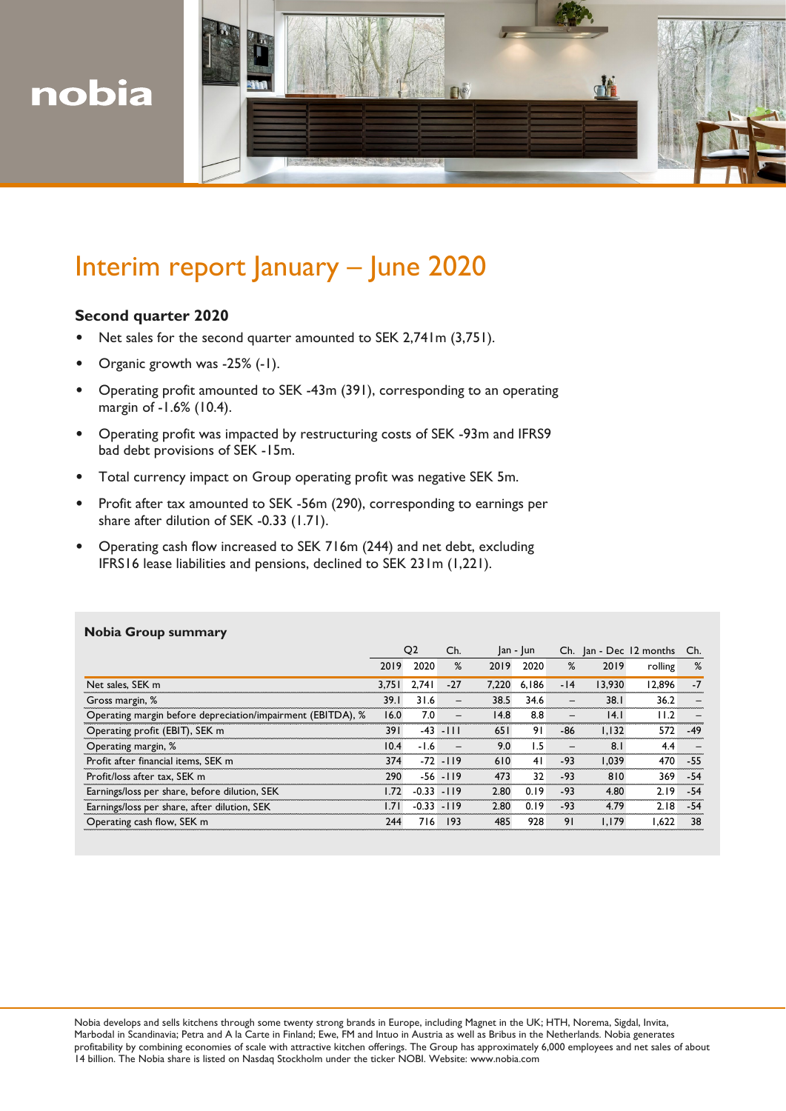



# Interim report January – June 2020

## **Second quarter 2020**

- Net sales for the second quarter amounted to SEK 2,741m (3,751).
- Organic growth was -25% (-1).
- Operating profit amounted to SEK -43m (391), corresponding to an operating margin of -1.6% (10.4).
- Operating profit was impacted by restructuring costs of SEK -93m and IFRS9 bad debt provisions of SEK -15m.
- Total currency impact on Group operating profit was negative SEK 5m.
- Profit after tax amounted to SEK -56m (290), corresponding to earnings per share after dilution of SEK -0.33 (1.71).
- Operating cash flow increased to SEK 716m (244) and net debt, excluding IFRS16 lease liabilities and pensions, declined to SEK 231m (1,221).

| <b>.</b>                                                    | Q <sub>2</sub> |               | Ch.<br>$ an -  un $      |       |       |          | Ch. Jan - Dec 12 months Ch. |         |       |
|-------------------------------------------------------------|----------------|---------------|--------------------------|-------|-------|----------|-----------------------------|---------|-------|
|                                                             | 2019           | 2020          | %                        | 2019  | 2020  | %        | 2019                        | rolling | %     |
| Net sales, SEK m                                            | 3.751          | 2.741         | $-27$                    | 7.220 | 6.186 | $-14$    | 13.930                      | 12.896  | $-7$  |
| Gross margin, %                                             | 39.1           | 31.6          | $\overline{\phantom{0}}$ | 38.5  | 34.6  | $\equiv$ | 38.1                        | 36.2    |       |
| Operating margin before depreciation/impairment (EBITDA), % | 16.0           | 7.0           |                          | 14.8  | 8.8   |          | 4.1                         | 11.2    |       |
| Operating profit (EBIT), SEK m                              | 39 I           |               | $-43 - 111$              | 65 I  | 91    | -86      | 1.132                       | 572     | $-49$ |
| Operating margin, %                                         | 10.4           | $-1.6$        |                          | 9.0   | 1.5   |          | 8.1                         | 4.4     |       |
| Profit after financial items, SEK m                         | 374            |               | $-72 - 119$              | 610   | 41    | $-93$    | 1.039                       | 470     | -55   |
| Profit/loss after tax, SEK m                                | 290            |               | $-56 - 119$              | 473   | 32    | $-93$    | 810                         | 369     | $-54$ |
| Earnings/loss per share, before dilution, SEK               | 1.72           | $-0.33$       | $-119$                   | 2.80  | 0.19  | $-93$    | 4.80                        | 2.19    | $-54$ |
| Earnings/loss per share, after dilution, SEK                | l.71           | $-0.33 - 119$ |                          | 2.80  | 0.19  | $-93$    | 4.79                        | 2.18    | $-54$ |
| Operating cash flow, SEK m                                  | 244            | 716           | 193                      | 485   | 928   | 91       | 1.179                       | .622    | 38    |

## **Nobia Group summary**

Nobia develops and sells kitchens through some twenty strong brands in Europe, including Magnet in the UK; HTH, Norema, Sigdal, Invita, Marbodal in Scandinavia; Petra and A la Carte in Finland; Ewe, FM and Intuo in Austria as well as Bribus in the Netherlands. Nobia generates profitability by combining economies of scale with attractive kitchen offerings. The Group has approximately 6,000 employees and net sales of about 14 billion. The Nobia share is listed on Nasdaq Stockholm under the ticker NOBI. Website: www.nobia.com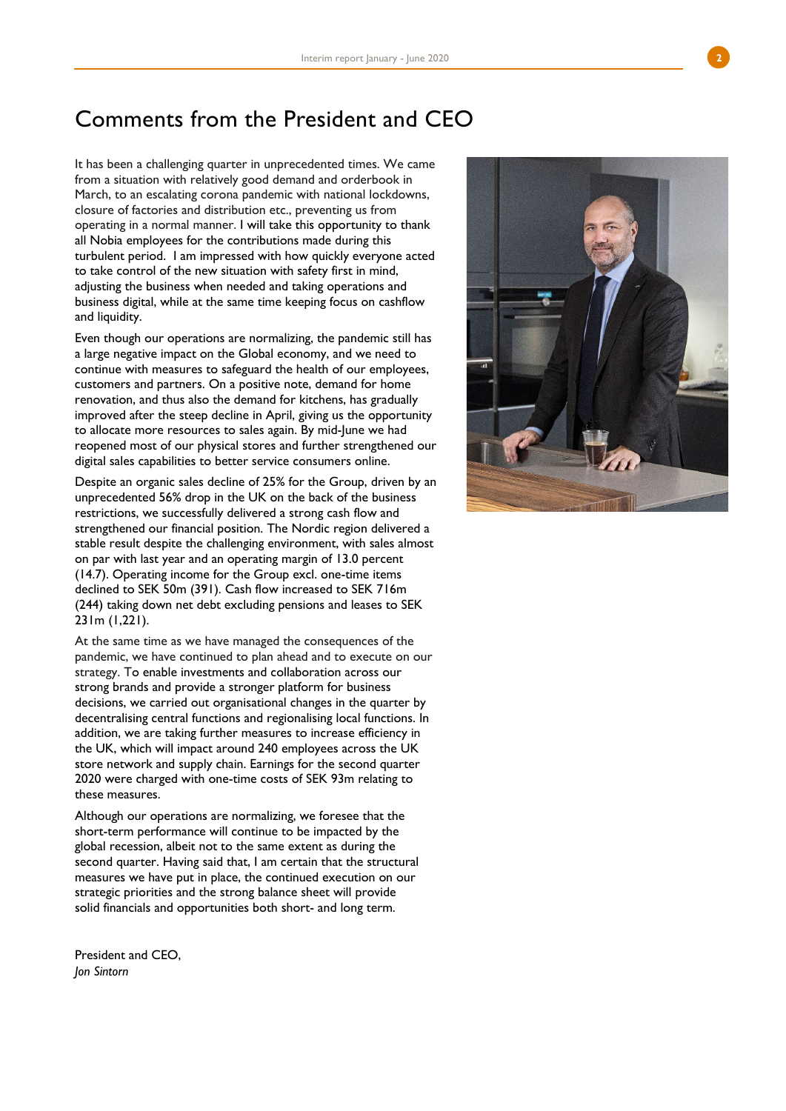# Comments from the President and CEO

It has been a challenging quarter in unprecedented times. We came from a situation with relatively good demand and orderbook in March, to an escalating corona pandemic with national lockdowns, closure of factories and distribution etc., preventing us from operating in a normal manner. I will take this opportunity to thank all Nobia employees for the contributions made during this turbulent period. I am impressed with how quickly everyone acted to take control of the new situation with safety first in mind, adjusting the business when needed and taking operations and business digital, while at the same time keeping focus on cashflow and liquidity.

Even though our operations are normalizing, the pandemic still has a large negative impact on the Global economy, and we need to continue wit h measures to safeguard the health of our employees, customers and partners. On a positive note, demand for home renovation, and thus also the demand for kitchens, has gradually improved after the steep decline in April, giving us the opportunity to allocate more resources to sales again. By mid -June we ha d reopened most of our physical stores and further strengthened our digital sales capabilities to better service consumers online.

Despite an organic sales decline of 25% for the Group, driven by an unprecedented 56% drop in the UK on the back of the business restrictions, we successfully delivered a strong cash flow and strengthened our financial position. The Nordic region delivered a stable result despite the challenging environment, with sales almost on par with last year and an operating margin of 13.0 percent (14.7). Operating income for the Group excl. one -time items declined to SEK 50m (391). Cash flow increased to SEK 716m (244) taking down net debt excluding pensions and leases to SEK 231m (1,221).

At the same time as we have managed the consequences of the pandemic, we have continued to plan ahead and to execute on our strategy. To enable investments and collaboration across our strong brands and provide a stronger platform for business decisions, we carried out organisational changes in the quarter by decentralising central functions and regionalising local functions. In addition, we are taking further measures to increase efficiency in the UK, which will impact around 240 employees across the UK store network and supply chain. Earnings for the second quarter 2020 were charged with one -time costs of SEK 93m relating to these measures.

Although our operations are normalizing, we foresee that the short -term performance will continue to be impacted by the global recession, albeit not to the same extent as during the second quarter. Having said that, I am certain that the structural measures we have put in place, the continued execution on our strategic priorities and the strong balance sheet will provide solid financials and opportunities both short - and long term.

President and CEO, *Jon Sintorn*

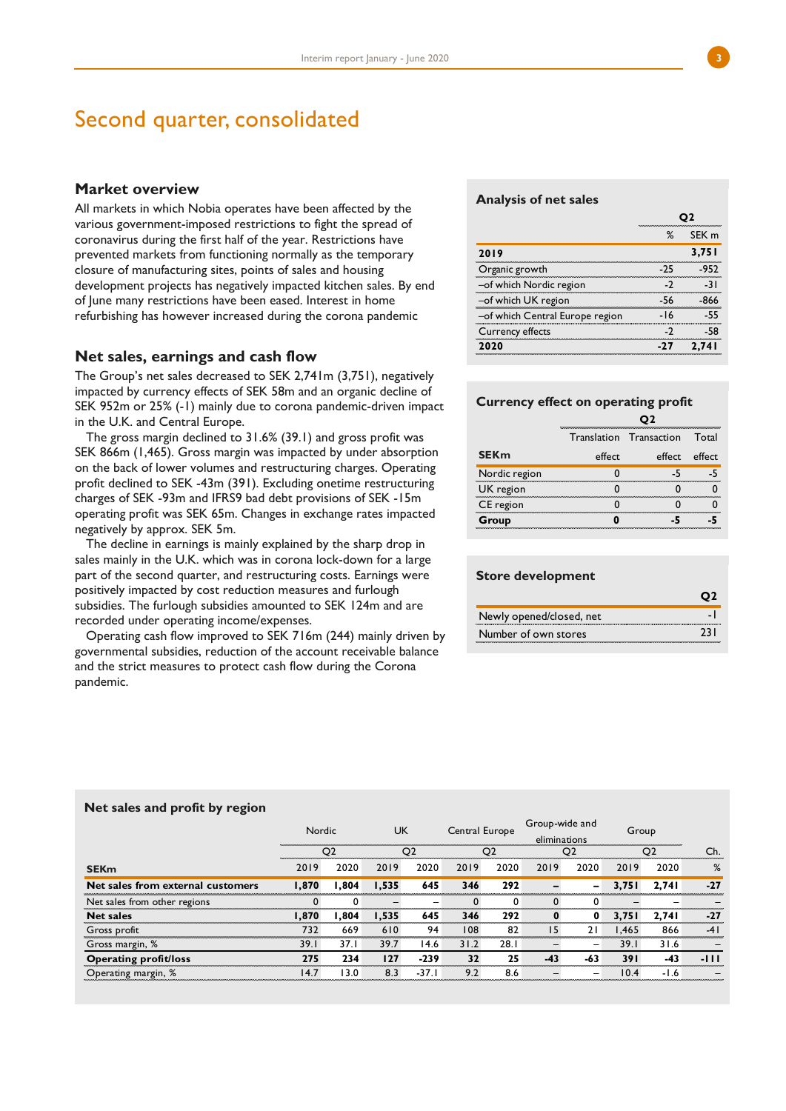## Second quarter, consolidated

## **Market overview**

All markets in which Nobia operates have been affected by the various government-imposed restrictions to fight the spread of coronavirus during the first half of the year. Restrictions have prevented markets from functioning normally as the temporary closure of manufacturing sites, points of sales and housing development projects has negatively impacted kitchen sales. By end of June many restrictions have been eased. Interest in home refurbishing has however increased during the corona pandemic

## **Net sales, earnings and cash flow**

The Group's net sales decreased to SEK 2,741m (3,751), negatively impacted by currency effects of SEK 58m and an organic decline of SEK 952m or 25% (-1) mainly due to corona pandemic-driven impact in the U.K. and Central Europe.

The gross margin declined to 31.6% (39.1) and gross profit was SEK 866m (1,465). Gross margin was impacted by under absorption on the back of lower volumes and restructuring charges. Operating profit declined to SEK -43m (391). Excluding onetime restructuring charges of SEK -93m and IFRS9 bad debt provisions of SEK -15m operating profit was SEK 65m. Changes in exchange rates impacted negatively by approx. SEK 5m.

The decline in earnings is mainly explained by the sharp drop in sales mainly in the U.K. which was in corona lock-down for a large part of the second quarter, and restructuring costs. Earnings were positively impacted by cost reduction measures and furlough subsidies. The furlough subsidies amounted to SEK 124m and are recorded under operating income/expenses.

Operating cash flow improved to SEK 716m (244) mainly driven by governmental subsidies, reduction of the account receivable balance and the strict measures to protect cash flow during the Corona pandemic.

#### **Analysis of net sales**

|                                 | %    | SEK m |
|---------------------------------|------|-------|
| 2019                            |      | 3,751 |
| Organic growth                  | - 25 |       |
| -of which Nordic region         |      |       |
| -of which UK region             | -56  |       |
| -of which Central Europe region |      |       |
| Currency effects                |      |       |
| <b>020</b>                      |      |       |

### **Currency effect on operating profit**

|               |        | Translation Transaction | Total |
|---------------|--------|-------------------------|-------|
| <b>SEKm</b>   | effect | effect effect           |       |
| Nordic region |        |                         |       |
| UK region     |        |                         |       |
| CE region     |        |                         |       |
| Group         |        |                         |       |

## **Store development**

| Newly opened/closed, net |  |
|--------------------------|--|
| Number of own stores     |  |

|                                   | Nordic |                | <b>UK</b> |                | Central Europe |                | Group-wide and<br>eliminations |                          | Group |                |       |
|-----------------------------------|--------|----------------|-----------|----------------|----------------|----------------|--------------------------------|--------------------------|-------|----------------|-------|
|                                   |        | O <sub>2</sub> |           | O <sub>2</sub> |                | O <sub>2</sub> |                                | O <sub>2</sub>           |       | O <sub>2</sub> | Ch.   |
| <b>SEKm</b>                       | 2019   | 2020           | 2019      | 2020           | 2019           | 2020           | 2019                           | 2020                     | 2019  | 2020           | %     |
| Net sales from external customers | 1.870  | 804.ا          | 1.535     | 645            | 346            | 292            |                                | $\overline{\phantom{0}}$ | 3.751 | 2.741          | $-27$ |
| Net sales from other regions      |        | $\Omega$       |           |                |                | 0              |                                | $\Omega$                 |       |                |       |
| <b>Net sales</b>                  | 1.870  | 804.١          | 1.535     | 645            | 346            | 292            | 0                              | 0                        | 3.751 | 2.741          | $-27$ |
| Gross profit                      | 732    | 669            | 610       | 94             | 108            | 82             | 15                             | 21                       | .465  | 866            | $-41$ |
| Gross margin, %                   | 39.1   | 37.1           | 39.7      | 14.6           | 31.2           | 28.1           |                                | $\overline{\phantom{m}}$ | 39.1  | 31.6           |       |
| Operating profit/loss             | 275    | 234            | 127       | $-239$         | 32             | 25             | $-43$                          | $-63$                    | 391   | -43            | -111  |
| Operating margin, %               | 14.7   | 13.0           | 8.3       | $-37.1$        | 9.2            | 8.6            |                                | $\overline{\phantom{m}}$ | 10.4  | $-1.6$         |       |

### **Net sales and profit by region**

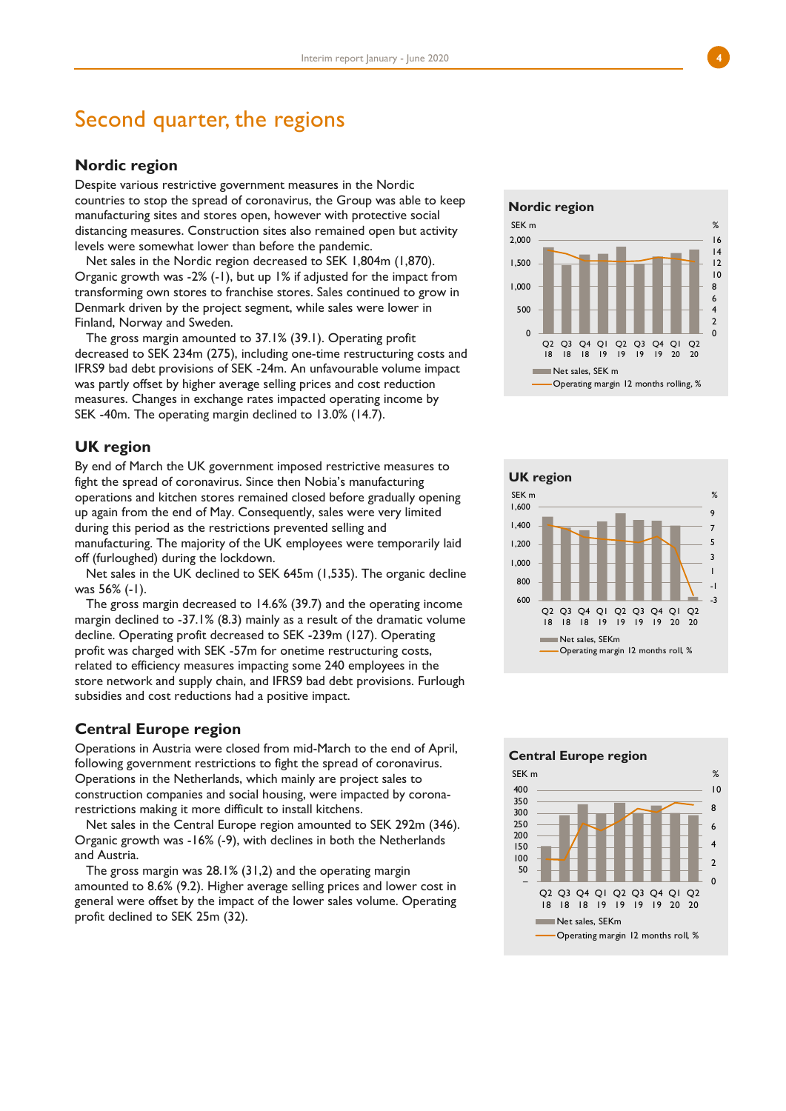## Second quarter, the regions

## **Nordic region**

Despite various restrictive government measures in the Nordic countries to stop the spread of coronavirus, the Group was able to keep manufacturing sites and stores open, however with protective social distancing measures. Construction sites also remained open but activity levels were somewhat lower than before the pandemic.

Net sales in the Nordic region decreased to SEK 1,804m (1,870). Organic growth was -2% (-1), but up 1% if adjusted for the impact from transforming own stores to franchise stores. Sales continued to grow in Denmark driven by the project segment, while sales were lower in Finland, Norway and Sweden.

The gross margin amounted to 37.1% (39.1). Operating profit decreased to SEK 234m (275), including one-time restructuring costs and IFRS9 bad debt provisions of SEK -24m. An unfavourable volume impact was partly offset by higher average selling prices and cost reduction measures. Changes in exchange rates impacted operating income by SEK -40m. The operating margin declined to 13.0% (14.7).

## **UK region**

By end of March the UK government imposed restrictive measures to fight the spread of coronavirus. Since then Nobia's manufacturing operations and kitchen stores remained closed before gradually opening up again from the end of May. Consequently, sales were very limited during this period as the restrictions prevented selling and manufacturing. The majority of the UK employees were temporarily laid off (furloughed) during the lockdown.

Net sales in the UK declined to SEK 645m (1,535). The organic decline was 56% (-1).

The gross margin decreased to 14.6% (39.7) and the operating income margin declined to -37.1% (8.3) mainly as a result of the dramatic volume decline. Operating profit decreased to SEK -239m (127). Operating profit was charged with SEK -57m for onetime restructuring costs, related to efficiency measures impacting some 240 employees in the store network and supply chain, and IFRS9 bad debt provisions. Furlough subsidies and cost reductions had a positive impact.

## **Central Europe region**

Operations in Austria were closed from mid-March to the end of April, following government restrictions to fight the spread of coronavirus. Operations in the Netherlands, which mainly are project sales to construction companies and social housing, were impacted by coronarestrictions making it more difficult to install kitchens.

Net sales in the Central Europe region amounted to SEK 292m (346). Organic growth was -16% (-9), with declines in both the Netherlands and Austria.

The gross margin was 28.1% (31,2) and the operating margin amounted to 8.6% (9.2). Higher average selling prices and lower cost in general were offset by the impact of the lower sales volume. Operating profit declined to SEK 25m (32).





**Central Europe region**

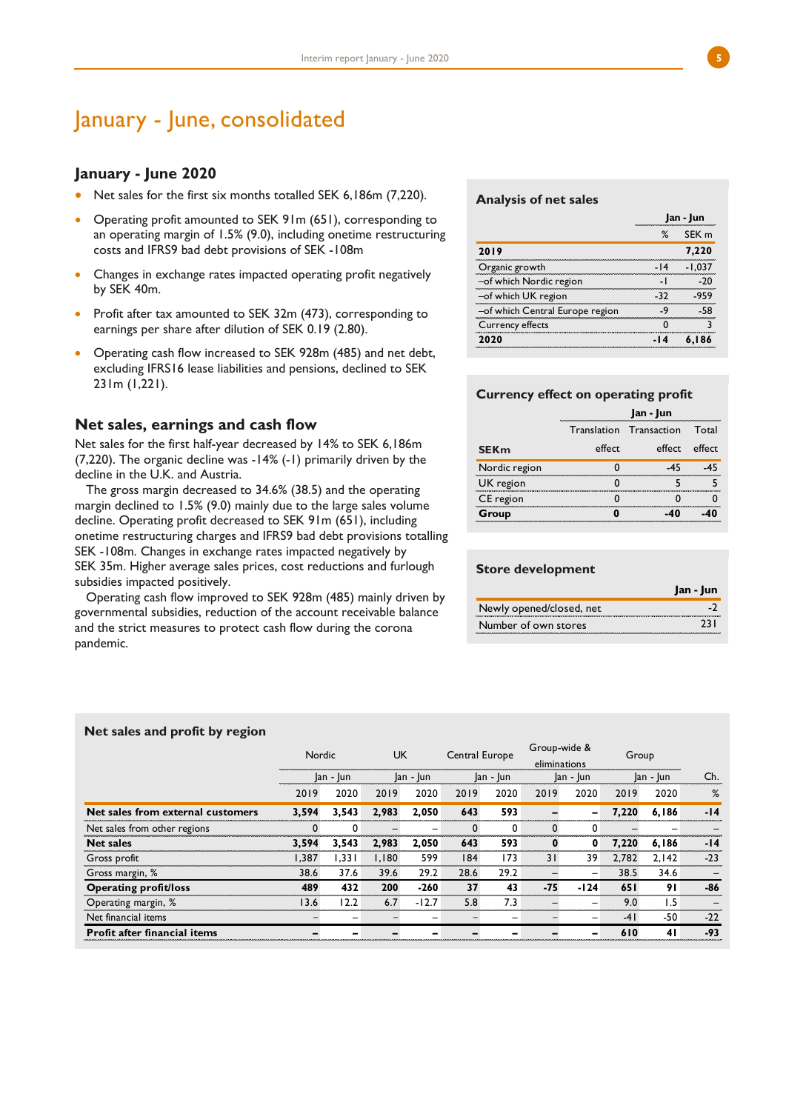## January - June, consolidated

## **January - June 2020**

- Net sales for the first six months totalled SEK 6,186m (7,220).
- Operating profit amounted to SEK 91m (651), corresponding to an operating margin of 1.5% (9.0), including onetime restructuring costs and IFRS9 bad debt provisions of SEK -108m
- Changes in exchange rates impacted operating profit negatively by SEK 40m.
- Profit after tax amounted to SEK 32m (473), corresponding to earnings per share after dilution of SEK 0.19 (2.80).
- Operating cash flow increased to SEK 928m (485) and net debt, excluding IFRS16 lease liabilities and pensions, declined to SEK 231m (1,221).

## **Net sales, earnings and cash flow**

Net sales for the first half-year decreased by 14% to SEK 6,186m (7,220). The organic decline was -14% (-1) primarily driven by the decline in the U.K. and Austria.

The gross margin decreased to 34.6% (38.5) and the operating margin declined to 1.5% (9.0) mainly due to the large sales volume decline. Operating profit decreased to SEK 91m (651), including onetime restructuring charges and IFRS9 bad debt provisions totalling SEK -108m. Changes in exchange rates impacted negatively by SEK 35m. Higher average sales prices, cost reductions and furlough subsidies impacted positively.

Operating cash flow improved to SEK 928m (485) mainly driven by governmental subsidies, reduction of the account receivable balance and the strict measures to protect cash flow during the corona pandemic.

#### **Analysis of net sales**

|                                 |       | Jan - Jun        |
|---------------------------------|-------|------------------|
|                                 | ℅     | SEK <sub>m</sub> |
| 2019                            |       | 7,220            |
| Organic growth                  | $-14$ |                  |
| -of which Nordic region         |       |                  |
| -of which UK region             | -32   |                  |
| -of which Central Europe region |       |                  |
| Currency effects                |       |                  |
| つのつの                            |       |                  |

## **Currency effect on operating profit**

|               |        | Jan - Jun                      |        |
|---------------|--------|--------------------------------|--------|
|               |        | <b>Translation Transaction</b> | Total  |
| <b>SEKm</b>   | effect | effect                         | effect |
| Nordic region |        |                                |        |
| UK region     |        |                                |        |
| CE region     |        |                                |        |
| Group         |        |                                |        |

## **Store development**

|                          | Jan - Jun |
|--------------------------|-----------|
| Newly opened/closed, net |           |
| Number of own stores     |           |

#### **Net sales and profit by region**

|                                     | <b>UK</b><br>Central Europe<br><b>Nordic</b> |           |       |          |      | Group-wide & |      | Group     |       |              |       |
|-------------------------------------|----------------------------------------------|-----------|-------|----------|------|--------------|------|-----------|-------|--------------|-------|
|                                     |                                              |           |       |          |      | eliminations |      |           |       |              |       |
|                                     |                                              | lan - lun |       | an - Jun |      | $ an -  un $ |      | Jan - Jun |       | $ an -  un $ | Ch.   |
|                                     | 2019                                         | 2020      | 2019  | 2020     | 2019 | 2020         | 2019 | 2020      | 2019  | 2020         | %     |
| Net sales from external customers   | 3,594                                        | 3,543     | 2.983 | 2.050    | 643  | 593          | -    | -         | 7.220 | 6,186        | $-14$ |
| Net sales from other regions        |                                              | 0         |       |          |      | 0            |      | 0         |       |              |       |
| <b>Net sales</b>                    | 3.594                                        | 3.543     | 2.983 | 2.050    | 643  | 593          |      | 0         | 7,220 | 6,186        | $-14$ |
| Gross profit                        | 1.387                                        | 1.331     | 1.180 | 599      | 184  | 173          | 31   | 39        | 2.782 | 2.142        | $-23$ |
| Gross margin, %                     | 38.6                                         | 37.6      | 39.6  | 29.2     | 28.6 | 29.2         |      | -         | 38.5  | 34.6         |       |
| <b>Operating profit/loss</b>        | 489                                          | 432       | 200   | $-260$   | 37   | 43           | -75  | $-124$    | 651   | 91           | -86   |
| Operating margin, %                 | 13.6                                         | 12.2      | 6.7   | $-12.7$  | 5.8  | 7.3          |      |           | 9.0   | 1.5          |       |
| Net financial items                 |                                              |           |       |          |      |              |      | -         | -41   | -50          | $-22$ |
| <b>Profit after financial items</b> |                                              |           |       |          |      |              |      | -         | 610   | 41           | -93   |

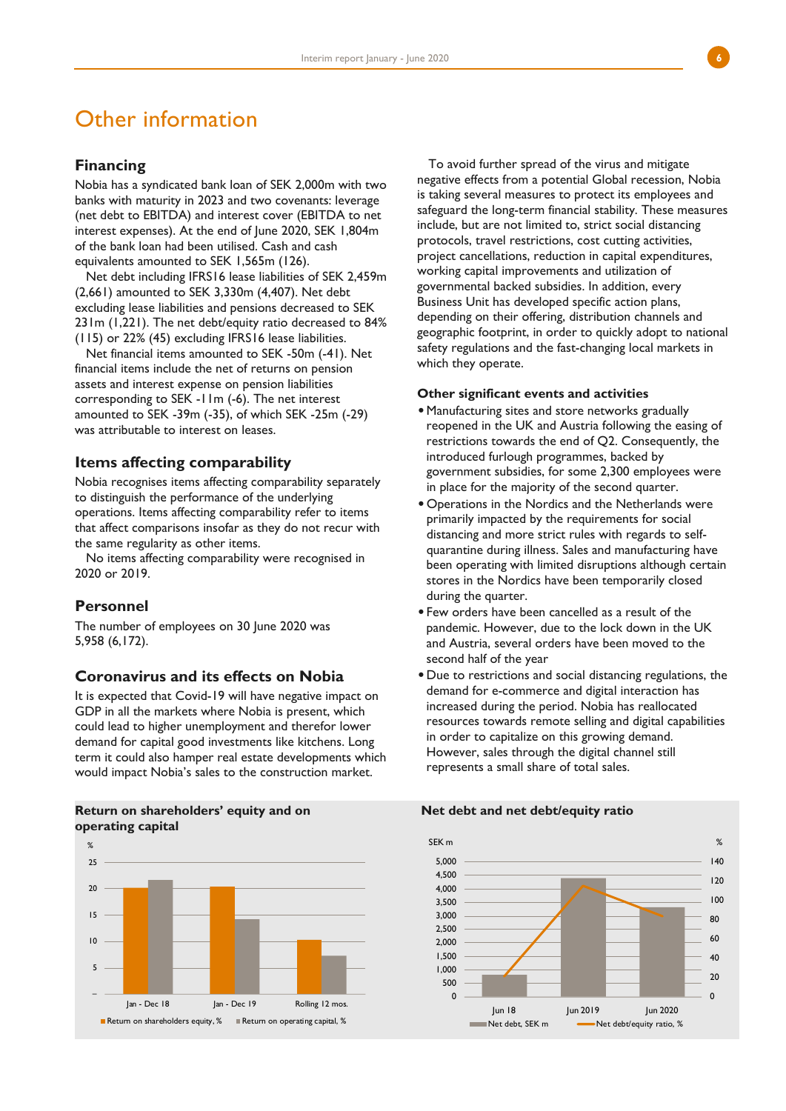## Other information

## **Financing**

Nobia has a syndicated bank loan of SEK 2,000m with two banks with maturity in 2023 and two covenants: leverage (net debt to EBITDA) and interest cover (EBITDA to net interest expenses). At the end of June 2020, SEK 1,804m of the bank loan had been utilised. Cash and cash equivalents amounted to SEK 1,565m (126).

Net debt including IFRS16 lease liabilities of SEK 2,459m (2,661) amounted to SEK 3,330m (4,407). Net debt excluding lease liabilities and pensions decreased to SEK 231m (1,221). The net debt/equity ratio decreased to 84% (115) or 22% (45) excluding IFRS16 lease liabilities.

Net financial items amounted to SEK -50m (-41). Net financial items include the net of returns on pension assets and interest expense on pension liabilities corresponding to SEK -11m (-6). The net interest amounted to SEK -39m (-35), of which SEK -25m (-29) was attributable to interest on leases.

### **Items affecting comparability**

Nobia recognises items affecting comparability separately to distinguish the performance of the underlying operations. Items affecting comparability refer to items that affect comparisons insofar as they do not recur with the same regularity as other items.

No items affecting comparability were recognised in 2020 or 2019.

## **Personnel**

The number of employees on 30 June 2020 was 5,958 (6,172).

## **Coronavirus and its effects on Nobia**

It is expected that Covid-19 will have negative impact on GDP in all the markets where Nobia is present, which could lead to higher unemployment and therefor lower demand for capital good investments like kitchens. Long term it could also hamper real estate developments which would impact Nobia's sales to the construction market.

## **Return on shareholders' equity and on operating capital**



To avoid further spread of the virus and mitigate negative effects from a potential Global recession, Nobia is taking several measures to protect its employees and safeguard the long-term financial stability. These measures include, but are not limited to, strict social distancing protocols, travel restrictions, cost cutting activities, project cancellations, reduction in capital expenditures, working capital improvements and utilization of governmental backed subsidies. In addition, every Business Unit has developed specific action plans, depending on their offering, distribution channels and geographic footprint, in order to quickly adopt to national safety regulations and the fast-changing local markets in which they operate.

## **Other significant events and activities**

- •Manufacturing sites and store networks gradually reopened in the UK and Austria following the easing of restrictions towards the end of Q2. Consequently, the introduced furlough programmes, backed by government subsidies, for some 2,300 employees were in place for the majority of the second quarter.
- •Operations in the Nordics and the Netherlands were primarily impacted by the requirements for social distancing and more strict rules with regards to selfquarantine during illness. Sales and manufacturing have been operating with limited disruptions although certain stores in the Nordics have been temporarily closed during the quarter.
- •Few orders have been cancelled as a result of the pandemic. However, due to the lock down in the UK and Austria, several orders have been moved to the second half of the year
- •Due to restrictions and social distancing regulations, the demand for e-commerce and digital interaction has increased during the period. Nobia has reallocated resources towards remote selling and digital capabilities in order to capitalize on this growing demand. However, sales through the digital channel still represents a small share of total sales.

#### **Net debt and net debt/equity ratio**

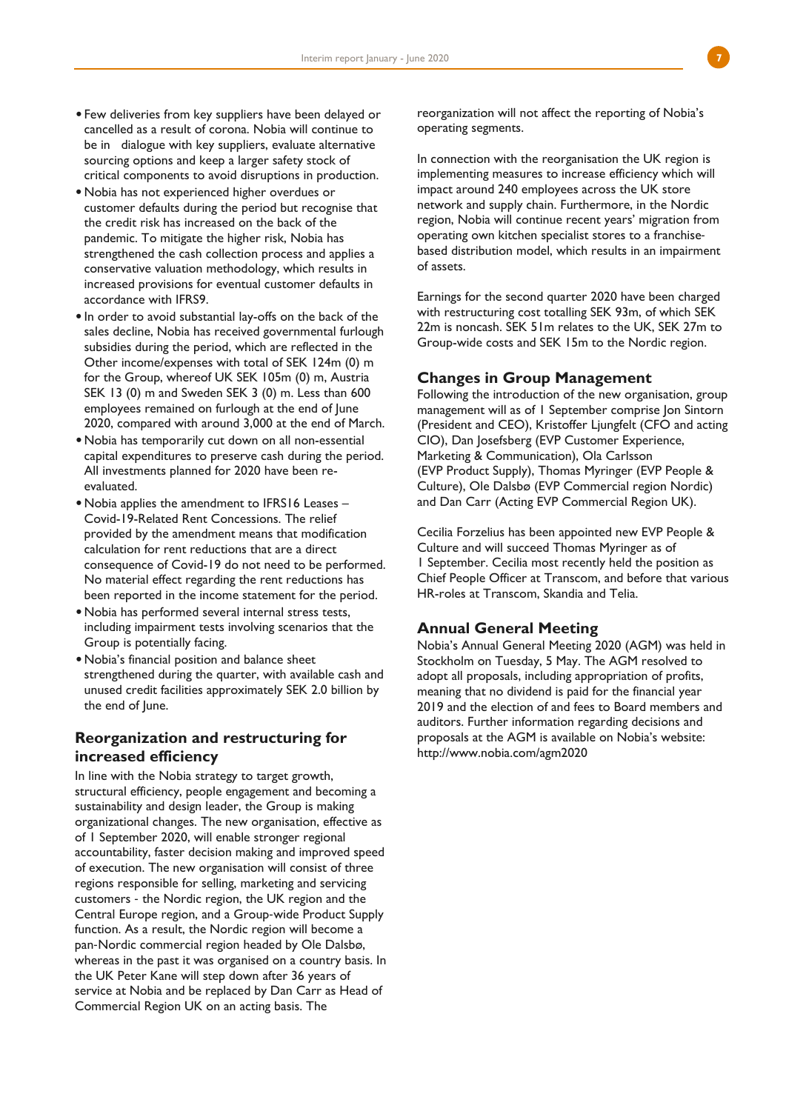- •Few deliveries from key suppliers have been delayed or cancelled as a result of corona. Nobia will continue to be in dialogue with key suppliers, evaluate alternative sourcing options and keep a larger safety stock of critical components to avoid disruptions in production.
- •Nobia has not experienced higher overdues or customer defaults during the period but recognise that the credit risk has increased on the back of the pandemic. To mitigate the higher risk, Nobia has strengthened the cash collection process and applies a conservative valuation methodology, which results in increased provisions for eventual customer defaults in accordance with IFRS9.
- •In order to avoid substantial lay-offs on the back of the sales decline, Nobia has received governmental furlough subsidies during the period, which are reflected in the Other income/expenses with total of SEK 124m (0) m for the Group, whereof UK SEK 105m (0) m, Austria SEK 13 (0) m and Sweden SEK 3 (0) m. Less than 600 employees remained on furlough at the end of June 2020, compared with around 3,000 at the end of March.
- •Nobia has temporarily cut down on all non-essential capital expenditures to preserve cash during the period. All investments planned for 2020 have been reevaluated.
- •Nobia applies the amendment to IFRS16 Leases Covid-19-Related Rent Concessions. The relief provided by the amendment means that modification calculation for rent reductions that are a direct consequence of Covid-19 do not need to be performed. No material effect regarding the rent reductions has been reported in the income statement for the period.
- •Nobia has performed several internal stress tests, including impairment tests involving scenarios that the Group is potentially facing.
- •Nobia's financial position and balance sheet strengthened during the quarter, with available cash and unused credit facilities approximately SEK 2.0 billion by the end of June.

## **Reorganization and restructuring for increased efficiency**

In line with the Nobia strategy to target growth, structural efficiency, people engagement and becoming a sustainability and design leader, the Group is making organizational changes. The new organisation, effective as of 1 September 2020, will enable stronger regional accountability, faster decision making and improved speed of execution. The new organisation will consist of three regions responsible for selling, marketing and servicing customers ‐ the Nordic region, the UK region and the Central Europe region, and a Group‐wide Product Supply function. As a result, the Nordic region will become a pan‐Nordic commercial region headed by Ole Dalsbø, whereas in the past it was organised on a country basis. In the UK Peter Kane will step down after 36 years of service at Nobia and be replaced by Dan Carr as Head of Commercial Region UK on an acting basis. The

reorganization will not affect the reporting of Nobia's operating segments.

In connection with the reorganisation the UK region is implementing measures to increase efficiency which will impact around 240 employees across the UK store network and supply chain. Furthermore, in the Nordic region, Nobia will continue recent years' migration from operating own kitchen specialist stores to a franchise‐ based distribution model, which results in an impairment of assets.

Earnings for the second quarter 2020 have been charged with restructuring cost totalling SEK 93m, of which SEK 22m is noncash. SEK 51m relates to the UK, SEK 27m to Group-wide costs and SEK 15m to the Nordic region.

## **Changes in Group Management**

Following the introduction of the new organisation, group management will as of 1 September comprise Jon Sintorn (President and CEO), Kristoffer Ljungfelt (CFO and acting CIO), Dan Josefsberg (EVP Customer Experience, Marketing & Communication), Ola Carlsson (EVP Product Supply), Thomas Myringer (EVP People & Culture), Ole Dalsbø (EVP Commercial region Nordic) and Dan Carr (Acting EVP Commercial Region UK).

Cecilia Forzelius has been appointed new EVP People & Culture and will succeed Thomas Myringer as of 1 September. Cecilia most recently held the position as Chief People Officer at Transcom, and before that various HR-roles at Transcom, Skandia and Telia.

## **Annual General Meeting**

Nobia's Annual General Meeting 2020 (AGM) was held in Stockholm on Tuesday, 5 May. The AGM resolved to adopt all proposals, including appropriation of profits, meaning that no dividend is paid for the financial year 2019 and the election of and fees to Board members and auditors. Further information regarding decisions and proposals at the AGM is available on Nobia's website: http://www.nobia.com/agm2020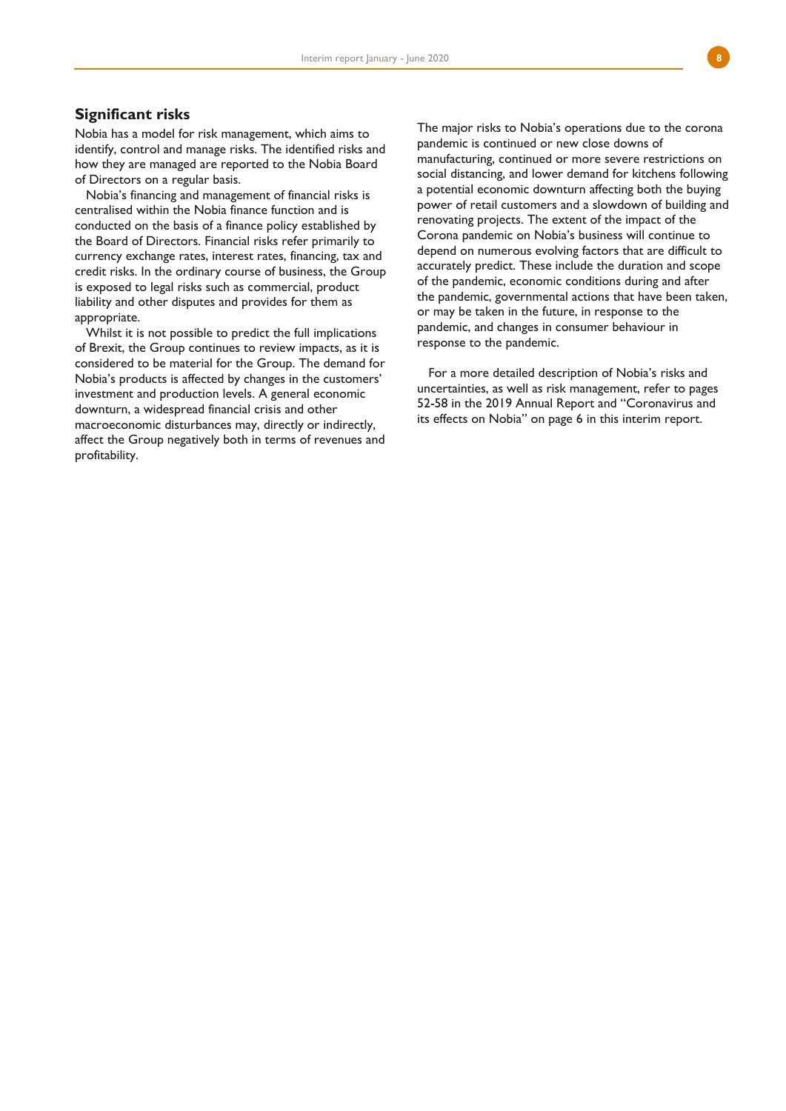## **Significant risks**

Nobia has a model for risk management, which aims to identify, control and manage risks. The identified risks and how they are managed are reported to the Nobia Board of Directors on a regular basis.

Nobia's financing and management of financial risks is centralised within the Nobia finance function and is conducted on the basis of a finance policy established by the Board of Directors. Financial risks refer primarily to currency exchange rates, interest rates, financing, tax and credit risks. In the ordinary course of business, the Group is exposed to legal risks such as commercial, product liability and other disputes and provides for them as appropriate.

Whilst it is not possible to predict the full implications of Brexit, the Group continues to review impacts, as it is considered to be material for the Group. The demand for Nobia's products is affected by changes in the customers' investment and production levels. A general economic downturn, a widespread financial crisis and other macroeconomic disturbances may, directly or indirectly, affect the Group negatively both in terms of revenues and profitability.

The major risks to Nobia's operations due to the corona pandemic is continued or new close downs of manufacturing, continued or more severe restrictions on social distancing, and lower demand for kitchens following a potential economic downturn affecting both the buying power of retail customers and a slowdown of building and renovating projects. The extent of the impact of the Corona pandemic on Nobia's business will continue to depend on numerous evolving factors that are difficult to accurately predict. These include the duration and scope of the pandemic, economic conditions during and after the pandemic, governmental actions that have been taken, or may be taken in the future, in response to the pandemic, and changes in consumer behaviour in response to the pandemic.

For a more detailed description of Nobia's risks and uncertainties, as well as risk management, refer to pages 52-58 in the 2019 Annual Report and "Coronavirus and its effects on Nobia" on page 6 in this interim report.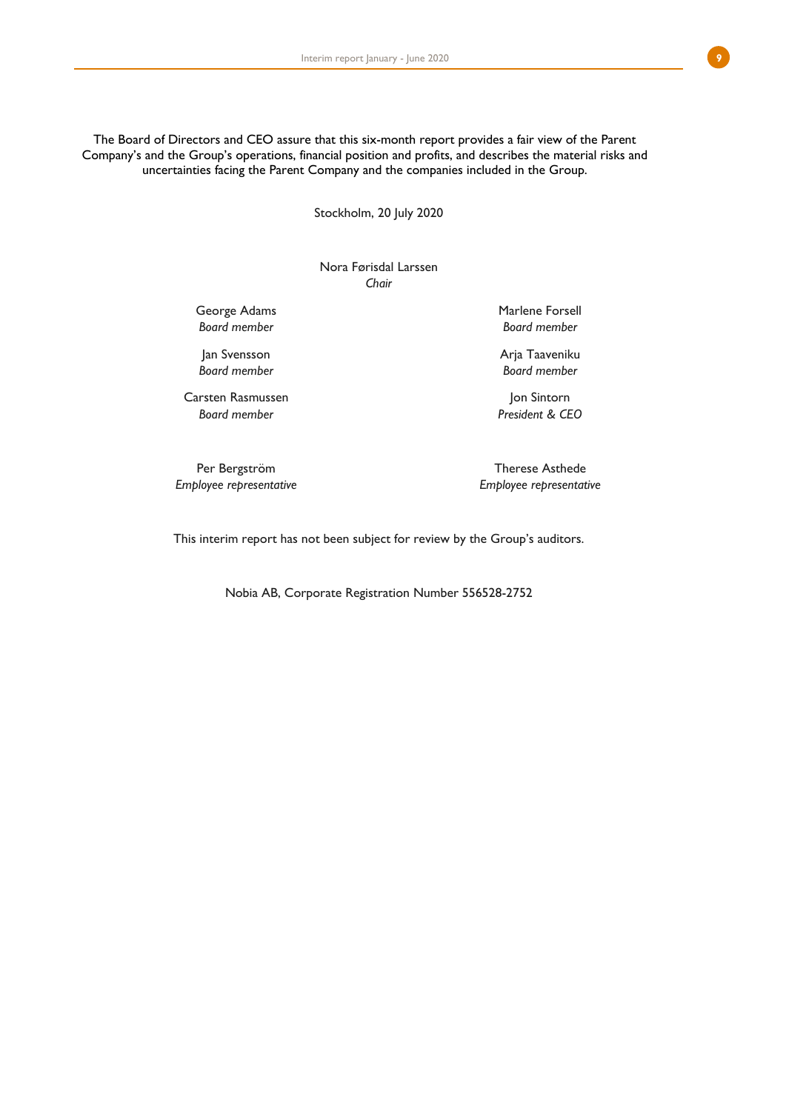The Board of Directors and CEO assure that this six-month report provides a fair view of the Parent Company's and the Group's operations, financial position and profits, and describes the material risks and uncertainties facing the Parent Company and the companies included in the Group.

Stockholm, 20 July 2020

Nora Førisdal Larssen *Chair*

George Adams *Board member*

Jan Svensson *Board member*

Carsten Rasmussen *Board member*

Marlene Forsell *Board member*

Arja Taaveniku *Board member*

Jon Sintorn *President & CEO*

Per Bergström *Employee representative*

Therese Asthede *Employee representative*

This interim report has not been subject for review by the Group's auditors.

Nobia AB, Corporate Registration Number 556528-2752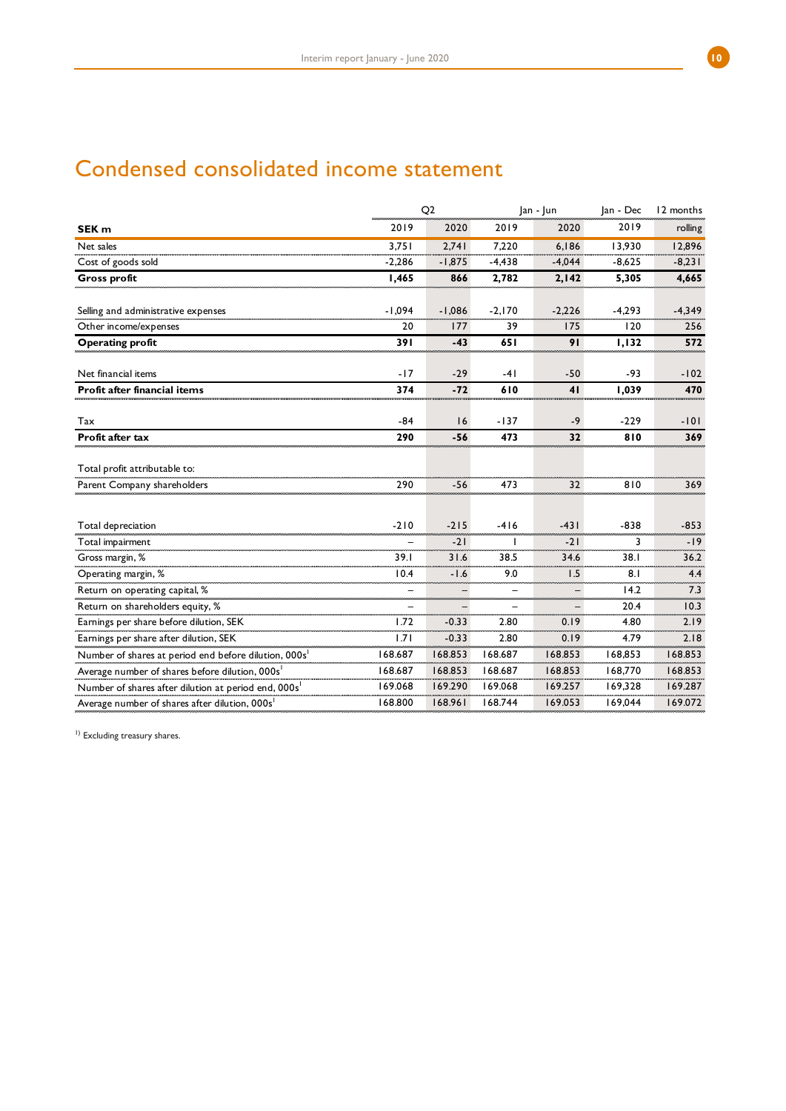# Condensed consolidated income statement

|                                                                  |          | Q <sub>2</sub> |          | Jan - Jun | Jan - Dec | 12 months |  |
|------------------------------------------------------------------|----------|----------------|----------|-----------|-----------|-----------|--|
| SEK <sub>m</sub>                                                 | 2019     | 2020           | 2019     | 2020      | 2019      | rolling   |  |
| Net sales                                                        | 3.751    | 2.741          | 7.220    | 6.186     | 13.930    | 12.896    |  |
| Cost of goods sold                                               | $-2,286$ | $-1,875$       | $-4,438$ | $-4,044$  | $-8,625$  | $-8,231$  |  |
| <b>Gross profit</b>                                              | 1,465    | 866            | 2,782    | 2,142     | 5,305     | 4,665     |  |
| Selling and administrative expenses                              | $-1,094$ | $-1,086$       | $-2,170$ | $-2,226$  | $-4,293$  | $-4,349$  |  |
| Other income/expenses                                            | 20       | 177            | 39       | 175       | 120       | 256       |  |
| Operating profit                                                 | 391      | $-43$          | 651      | 91        | 1,132     | 572       |  |
| Net financial items                                              | $-17$    | $-29$          | $-41$    | $-50$     | -93       | $-102$    |  |
| Profit after financial items                                     | 374      | $-72$          | 610      | 41        | 1,039     | 470       |  |
| Tax                                                              | $-84$    | 16             | $-137$   | -9        | $-229$    | $-101$    |  |
| Profit after tax                                                 | 290      | $-56$          | 473      | 32        | 810       | 369       |  |
| Total profit attributable to:                                    |          |                |          |           |           |           |  |
| Parent Company shareholders                                      | 290      | $-56$          | 473      | 32        | 810       | 369       |  |
|                                                                  |          |                |          |           |           |           |  |
| Total depreciation                                               | $-210$   | $-215$         | $-416$   | $-431$    | $-838$    | $-853$    |  |
| Total impairment                                                 |          | $-21$          |          | $-21$     | 3         | $-19$     |  |
| Gross margin, %                                                  | 39.1     | 31.6           | 38.5     | 34.6      | 38.1      | 36.2      |  |
| Operating margin, %                                              | 10.4     | $-1.6$         | 9.0      | 1.5       | 8.1       | 4.4       |  |
| Return on operating capital, %                                   |          |                |          |           | 14.2      | 7.3       |  |
| Return on shareholders equity, %                                 |          |                |          |           | 20.4      | 10.3      |  |
| Earnings per share before dilution, SEK                          | 1.72     | $-0.33$        | 2.80     | 0.19      | 4.80      | 2.19      |  |
| Earnings per share after dilution, SEK                           | 1.71     | $-0.33$        | 2.80     | 0.19      | 4.79      | 2.18      |  |
| Number of shares at period end before dilution, 000s             | 168.687  | 168.853        | 168.687  | 168.853   | 168,853   | 168.853   |  |
| Average number of shares before dilution, 000s'                  | 168.687  | 168.853        | 168.687  | 168.853   | 168,770   | 168.853   |  |
| Number of shares after dilution at period end, 000s <sup>1</sup> | 169.068  | 169.290        | 169.068  | 169.257   | 169,328   | 169.287   |  |
| Average number of shares after dilution, 000s <sup>1</sup>       | 168.800  | 168.961        | 168.744  | 169.053   | 169,044   | 169.072   |  |

<sup>1)</sup> Excluding treasury shares.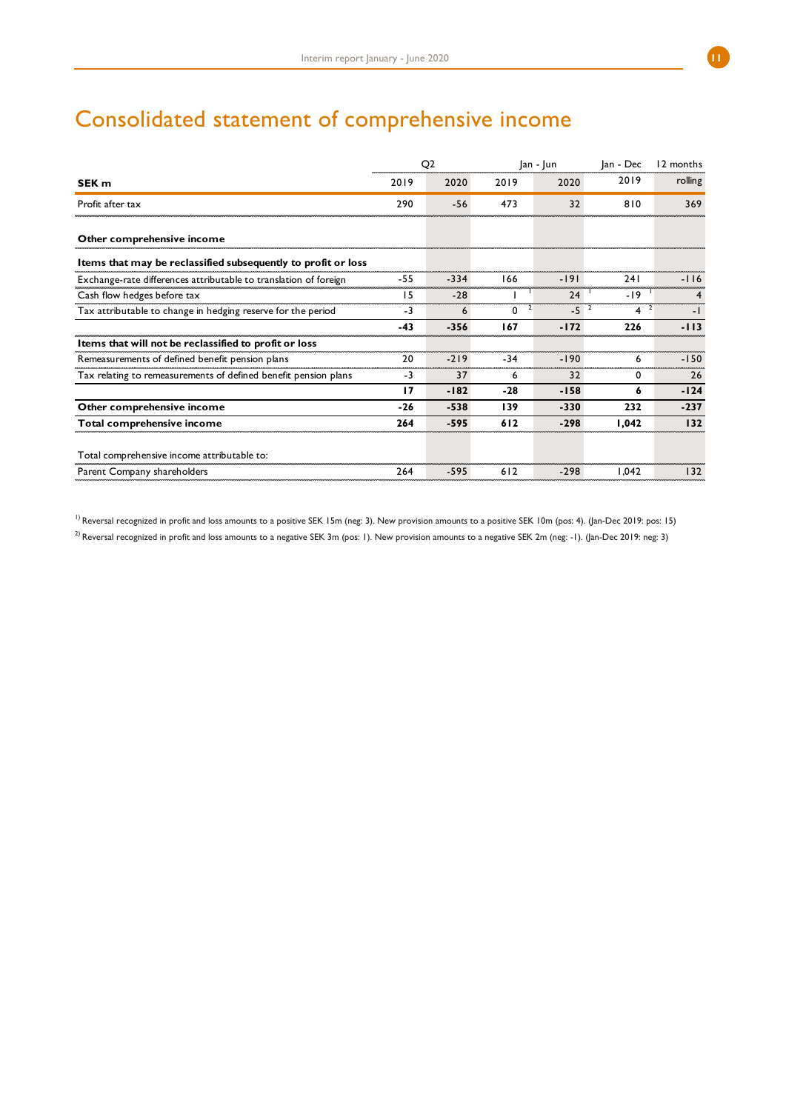# Consolidated statement of comprehensive income

| SEK <sub>m</sub>                                                 |       | Q <sub>2</sub> |       | $ an -  un $ | Jan - Dec  | 12 months |  |
|------------------------------------------------------------------|-------|----------------|-------|--------------|------------|-----------|--|
|                                                                  |       | 2020           | 2019  | 2020         | 2019       | rolling   |  |
| Profit after tax                                                 | 290   | $-56$          | 473   | 32           | 810        | 369       |  |
| Other comprehensive income                                       |       |                |       |              |            |           |  |
| Items that may be reclassified subsequently to profit or loss    |       |                |       |              |            |           |  |
| Exchange-rate differences attributable to translation of foreign | $-55$ | -334           | 166   | -191         | <b>241</b> |           |  |
| Cash flow hedges before tax                                      | 15    | $-28$          |       | 24           | $-19$      |           |  |
| Tax attributable to change in hedging reserve for the period     | -3    | 6              | 0     | $-5$         | 4          | - 1       |  |
|                                                                  | $-43$ | $-356$         | 167   | $-172$       | 226        | -113      |  |
| Items that will not be reclassified to profit or loss            |       |                |       |              |            |           |  |
| Remeasurements of defined benefit pension plans                  | 20    | $-219$         | $-34$ | $-190$       | 6          | $-150$    |  |
| Tax relating to remeasurements of defined benefit pension plans  | $-3$  | 37             | 6     | 32           | 0          | 26        |  |
|                                                                  | 17    | $-182$         | $-28$ | $-158$       | 6          | $-124$    |  |
| Other comprehensive income                                       | $-26$ | $-538$         | 139   | $-330$       | 232        | $-237$    |  |
| Total comprehensive income                                       | 264   | $-595$         | 612   | $-298$       | 1,042      | 132       |  |
| Total comprehensive income attributable to:                      |       |                |       |              |            |           |  |
| Parent Company shareholders                                      | 264   | $-595$         | 612   | $-298$       | 1.042      | 132       |  |

<sup>1)</sup> Reversal recognized in profit and loss amounts to a positive SEK 15m (neg: 3). New provision amounts to a positive SEK 10m (pos: 4). (Jan-Dec 2019: pos: 15)  $^{2)}$  Reversal recognized in profit and loss amounts to a negative SEK 3m (pos: 1). New provision amounts to a negative SEK 2m (neg: -1). (Jan-Dec 2019: neg: 3)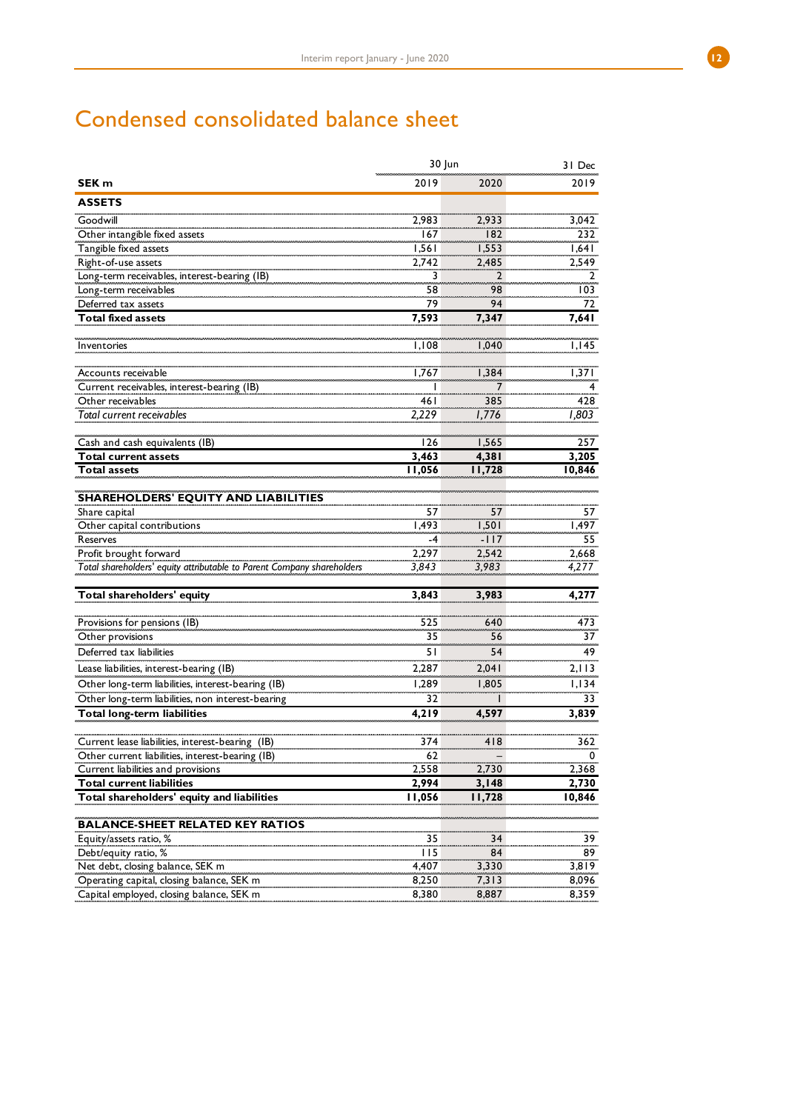# Condensed consolidated balance sheet

|                                                                                                  | 30 Jun | 31 Dec |          |
|--------------------------------------------------------------------------------------------------|--------|--------|----------|
| SEK <sub>m</sub>                                                                                 | 2019   | 2020   | 2019     |
| <b>ASSETS</b>                                                                                    |        |        |          |
| Goodwill                                                                                         | 2,983  | 2,933  | 3,042    |
| Other intangible fixed assets                                                                    | 167    | 182    | 232      |
| Tangible fixed assets                                                                            | 1,561  | 1,553  | 1,641    |
| Right-of-use assets                                                                              | 2,742  | 2,485  | 2,549    |
| Long-term receivables, interest-bearing (IB)                                                     | 3      | 2      | 2        |
| Long-term receivables                                                                            | 58     | 98     | 103      |
| Deferred tax assets                                                                              | 79     | 94     | 72       |
| <b>Total fixed assets</b>                                                                        | 7,593  | 7,347  | 7,641    |
|                                                                                                  |        |        |          |
| Inventories                                                                                      | 1,108  | 1,040  | I, I45   |
|                                                                                                  |        |        |          |
| Accounts receivable                                                                              | 1,767  | 1,384  | 1,371    |
| Current receivables, interest-bearing (IB)                                                       |        | 7      |          |
| Other receivables                                                                                | 46 I   | 385    | 428      |
| <b>Total current receivables</b>                                                                 | 2,229  | 1,776  | 1,803    |
|                                                                                                  |        |        |          |
|                                                                                                  |        | 1,565  | 257      |
| Cash and cash equivalents (IB)                                                                   | 126    |        | 3,205    |
| <b>Total current assets</b>                                                                      | 3,463  | 4,381  |          |
| <b>Total assets</b>                                                                              | 11,056 | 11,728 | 10,846   |
| <b>SHAREHOLDERS' EQUITY AND LIABILITIES</b>                                                      |        |        |          |
| Share capital                                                                                    | 57     | 57     | 57       |
| Other capital contributions                                                                      | 1.493  | 1,501  | 1,497    |
| Reserves                                                                                         | -4     | $-117$ | 55       |
|                                                                                                  | 2,297  | 2,542  | 2,668    |
| Profit brought forward<br>Total shareholders' equity attributable to Parent Company shareholders | 3,843  | 3,983  | 4,277    |
|                                                                                                  |        |        |          |
| Total shareholders' equity                                                                       | 3,843  | 3,983  | 4,277    |
|                                                                                                  |        |        |          |
| Provisions for pensions (IB)                                                                     | 525    | 640    | 473      |
| Other provisions                                                                                 | 35     | 56     | 37       |
| Deferred tax liabilities                                                                         | 51     | 54     | 49       |
| Lease liabilities, interest-bearing (IB)                                                         | 2,287  | 2,041  | 2,113    |
| Other long-term liabilities, interest-bearing (IB)                                               | 1.289  | 1,805  | 1.134    |
| Other long-term liabilities, non interest-bearing                                                | 32     |        | 33       |
| Total long-term liabilities                                                                      | 4,219  | 4,597  | 3,839    |
|                                                                                                  |        |        |          |
| Current lease liabilities, interest-bearing (IB)                                                 | 374    | 418    | 362      |
| Other current liabilities, interest-bearing (IB)                                                 | 62     |        | 0        |
| Current liabilities and provisions                                                               | 2,558  | 2,730  | 2,368    |
| <b>Total current liabilities</b>                                                                 | 2,994  | 3,148  | 2,730    |
| Total shareholders' equity and liabilities                                                       | 11,056 | 11,728 | 10,846   |
|                                                                                                  |        |        |          |
| <b>BALANCE-SHEET RELATED KEY RATIOS</b>                                                          |        |        |          |
| Equity/assets ratio, %                                                                           | 35     | 34     | 39<br>89 |
| Debt/equity ratio, %                                                                             | 115    | 84     |          |
| Net debt, closing balance, SEK m                                                                 | 4,407  | 3,330  | 3,819    |
| Operating capital, closing balance, SEK m                                                        | 8,250  | 7,313  | 8,096    |
| Capital employed, closing balance, SEK m                                                         | 8,380  | 8,887  | 8,359    |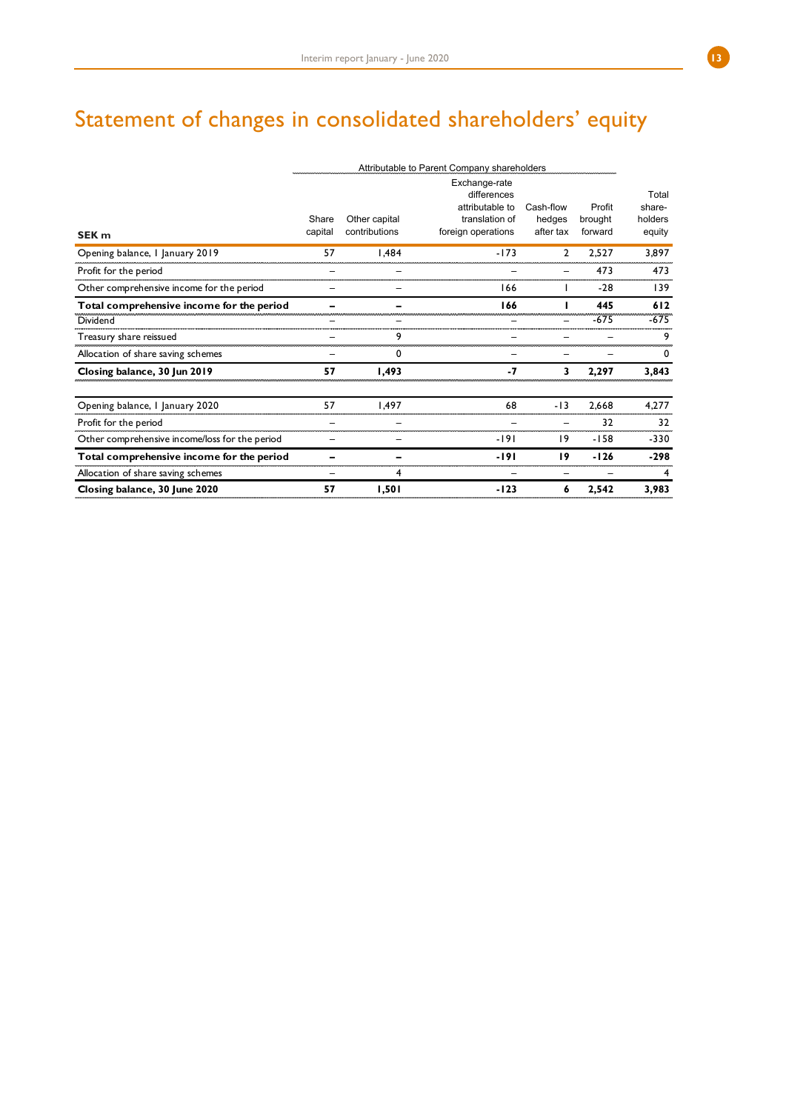# Statement of changes in consolidated shareholders' equity

|                                                | Attributable to Parent Company shareholders |               |                                   |                     |                   |                   |
|------------------------------------------------|---------------------------------------------|---------------|-----------------------------------|---------------------|-------------------|-------------------|
|                                                |                                             |               | Exchange-rate<br>differences      |                     |                   | Total             |
|                                                | Share                                       | Other capital | attributable to<br>translation of | Cash-flow<br>hedges | Profit<br>brought | share-<br>holders |
| SEK <sub>m</sub>                               | capital                                     | contributions | foreign operations                | after tax           | forward           | equity            |
| Opening balance, I January 2019                | 57                                          | 1,484         | $-173$                            | 2                   | 2,527             | 3,897             |
| Profit for the period                          |                                             |               |                                   |                     | 473               | 473               |
| Other comprehensive income for the period      |                                             |               | 166                               |                     | $-28$             | 139               |
| Total comprehensive income for the period      |                                             |               | 166                               |                     | 445               | 612               |
| Dividend                                       |                                             |               |                                   |                     | $-675$            | $-675$            |
| Treasury share reissued                        |                                             | 9             |                                   |                     |                   | 9                 |
| Allocation of share saving schemes             |                                             | 0             |                                   |                     |                   | $\Omega$          |
| Closing balance, 30 Jun 2019                   | 57                                          | 1,493         | $-7$                              | 3                   | 2,297             | 3,843             |
| Opening balance, I January 2020                | 57                                          | 1.497         | 68                                | $-13$               | 2.668             | 4,277             |
| Profit for the period                          |                                             |               |                                   |                     | 32                | 32                |
| Other comprehensive income/loss for the period |                                             |               | -191                              | 19                  | $-158$            | $-330$            |
| Total comprehensive income for the period      |                                             |               | -191                              | 19                  | $-126$            | $-298$            |
| Allocation of share saving schemes             |                                             | 4             |                                   |                     |                   | 4                 |
| Closing balance, 30 June 2020                  | 57                                          | 1,501         | $-123$                            | 6                   | 2,542             | 3,983             |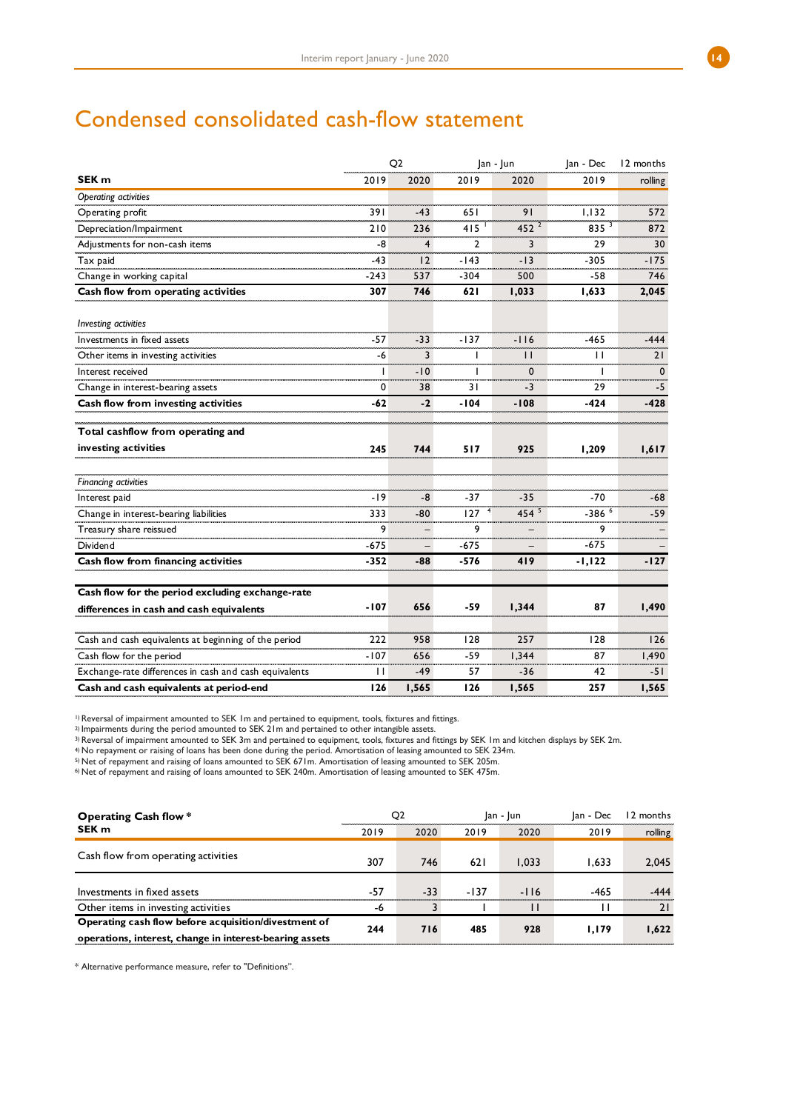# Condensed consolidated cash-flow statement

|                                                        |              | Q2             |                | Jan - Jun    |                     | 12 months   |
|--------------------------------------------------------|--------------|----------------|----------------|--------------|---------------------|-------------|
| SEK <sub>m</sub>                                       | 2019         | 2020           | 2019           | 2020         | 2019                | rolling     |
| Operating activities                                   |              |                |                |              |                     |             |
| Operating profit                                       | 391          | $-43$          | 651            | 91           | 1,132               | 572         |
| Depreciation/Impairment                                | 210          | 236            | 415            | $452^{2}$    | 835 $35$            | 872         |
| Adjustments for non-cash items                         | $-8$         | $\overline{4}$ | $\overline{2}$ | 3            | 29                  | 30          |
| Tax paid                                               | $-43$        | 12             | $-143$         | $-13$        | $-305$              | $-175$      |
| Change in working capital                              | $-243$       | 537            | $-304$         | 500          | -58                 | 746         |
| Cash flow from operating activities                    | 307          | 746            | 621            | 1,033        | 1,633               | 2,045       |
| Investing activities                                   |              |                |                |              |                     |             |
| Investments in fixed assets                            | $-57$        | $-33$          | $-137$         | $-116$       | $-465$              | $-444$      |
| Other items in investing activities                    | -6           | 3              | I              | П            | $\mathbf{L}$        | 21          |
| Interest received                                      | I            | $-10$          | I              | $\mathbf{0}$ | ı                   | $\mathbf 0$ |
| Change in interest-bearing assets                      | $\mathbf 0$  | 38             | 31             | $-3$         | 29                  | -5          |
| Cash flow from investing activities                    | $-62$        | $-2$           | $-104$         | $-108$       | $-424$              | $-428$      |
| Total cashflow from operating and                      |              |                |                |              |                     |             |
| investing activities                                   | 245          | 744            | 517            | 925          | 1,209               | 1,617       |
|                                                        |              |                |                |              |                     |             |
| <b>Financing activities</b>                            |              |                |                |              |                     |             |
| Interest paid                                          | $-19$        | -8             | $-37$          | $-35$        | $-70$               | -68         |
| Change in interest-bearing liabilities                 | 333          | -80            | 127            | $454^{5}$    | $-386$ <sup>6</sup> | -59         |
| Treasury share reissued                                | 9            |                | 9              |              | 9                   |             |
| Dividend                                               | $-675$       |                | $-675$         |              | $-675$              |             |
| Cash flow from financing activities                    | $-352$       | -88            | $-576$         | 419          | $-1, 122$           | $-127$      |
| Cash flow for the period excluding exchange-rate       |              |                |                |              |                     |             |
| differences in cash and cash equivalents               | $-107$       | 656            | -59            | 1,344        | 87                  | 1,490       |
| Cash and cash equivalents at beginning of the period   | 222          | 958            | 128            | 257          | 128                 | 126         |
| Cash flow for the period                               | $-107$       | 656            | -59            | 1,344        | 87                  | 1,490       |
| Exchange-rate differences in cash and cash equivalents | $\mathbf{L}$ | -49            | 57             | $-36$        | 42                  | $-51$       |
| Cash and cash equivalents at period-end                | 126          | 1,565          | 126            | 1,565        | 257                 | 1,565       |

1) Reversal of impairment amounted to SEK 1m and pertained to equipment, tools, fixtures and fittings.

2) Impairments during the period amounted to SEK 21m and pertained to other intangible assets.

3) Reversal of impairment amounted to SEK 3m and pertained to equipment, tools, fixtures and fittings by SEK 1m and kitchen displays by SEK 2m.

4) No repayment or raising of loans has been done during the period. Amortisation of leasing amounted to SEK 234m.

5) Net of repayment and raising of loans amounted to SEK 671m. Amortisation of leasing amounted to SEK 205m.

6) Net of repayment and raising of loans amounted to SEK 240m. Amortisation of leasing amounted to SEK 475m.

| Operating Cash flow *                                   |      | Q2    |        | Jan - Jun |        | 12 months |
|---------------------------------------------------------|------|-------|--------|-----------|--------|-----------|
| SEK <sub>m</sub>                                        | 2019 | 2020  | 2019   | 2020      | 2019   | rolling   |
| Cash flow from operating activities                     |      |       |        |           |        |           |
|                                                         | 307  | 746   | 621    | 1.033     | 1.633  | 2,045     |
|                                                         |      |       |        |           |        |           |
| Investments in fixed assets                             | -57  | $-33$ | $-137$ | $-116$    | $-465$ | -444      |
| Other items in investing activities                     | -6   |       |        |           |        | 21        |
| Operating cash flow before acquisition/divestment of    | 244  | 716   | 485    | 928       | 1.179  | 1,622     |
| operations, interest, change in interest-bearing assets |      |       |        |           |        |           |

\* Alternative performance measure, refer to "Definitions".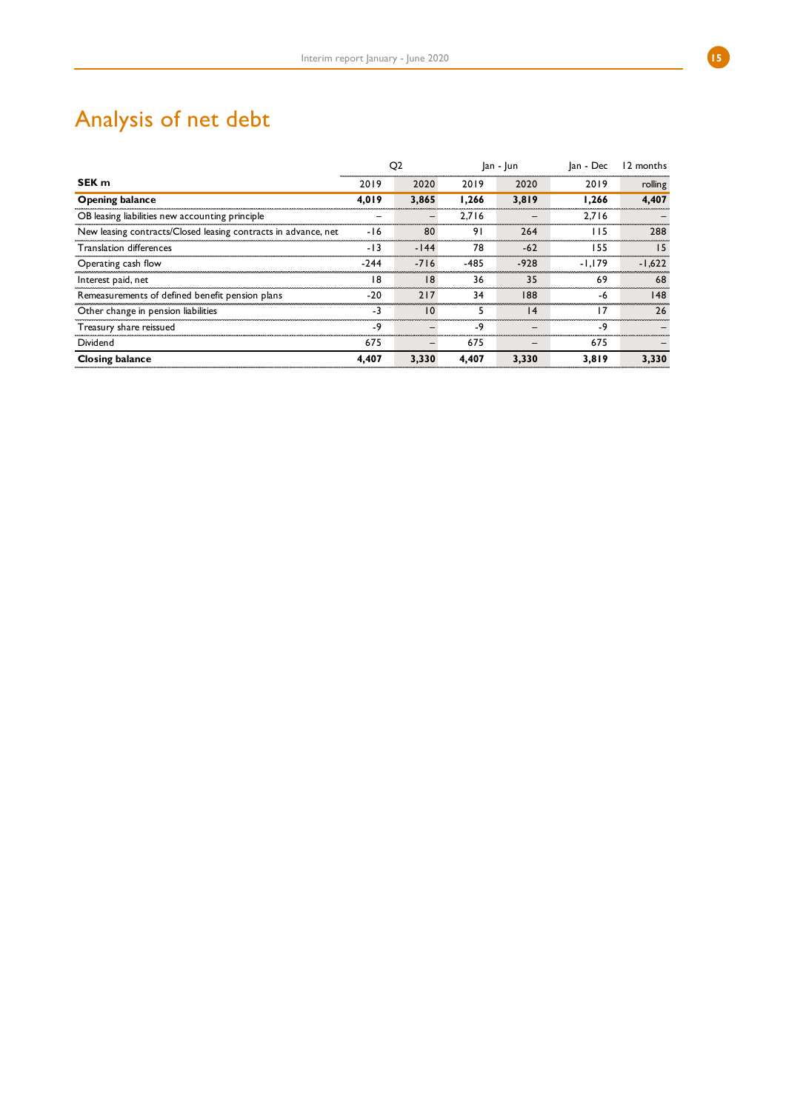# Analysis of net debt

|                                                                | Q <sub>2</sub> |        |        | $ an -  un $    | Jan - Dec | 12 months |  |
|----------------------------------------------------------------|----------------|--------|--------|-----------------|-----------|-----------|--|
| SEK <sub>m</sub>                                               | 2019           | 2020   | 2019   | 2020            | 2019      | rolling   |  |
| <b>Opening balance</b>                                         | 4,019          | 3,865  | 1.266  | 3,819           | 1.266     | 4,407     |  |
| OB leasing liabilities new accounting principle                |                |        | 2.716  |                 | 2.716     |           |  |
| New leasing contracts/Closed leasing contracts in advance, net | -16            | 80     | 91     | 264             | 1 I 5     | 288       |  |
| <b>Translation differences</b>                                 | $-13$          | $-144$ | 78     | $-62$           | 155       | 15        |  |
| Operating cash flow                                            | -244           | $-716$ | $-485$ | $-928$          | $-1.179$  | $-1.622$  |  |
| Interest paid, net                                             | 18             | 18     | 36     | 35              | 69        | 68        |  |
| Remeasurements of defined benefit pension plans                | $-20$          | 217    | 34     | 188             | -6        | 148       |  |
| Other change in pension liabilities                            | -3             | 10     |        | $\overline{14}$ | ۱7        | 26        |  |
| Treasury share reissued                                        | -9             |        | -9     |                 | -9        |           |  |
| Dividend                                                       | 675            |        | 675    | -               | 675       |           |  |
| <b>Closing balance</b>                                         | 4.407          | 3.330  | 4.407  | 3.330           | 3.819     | 3.330     |  |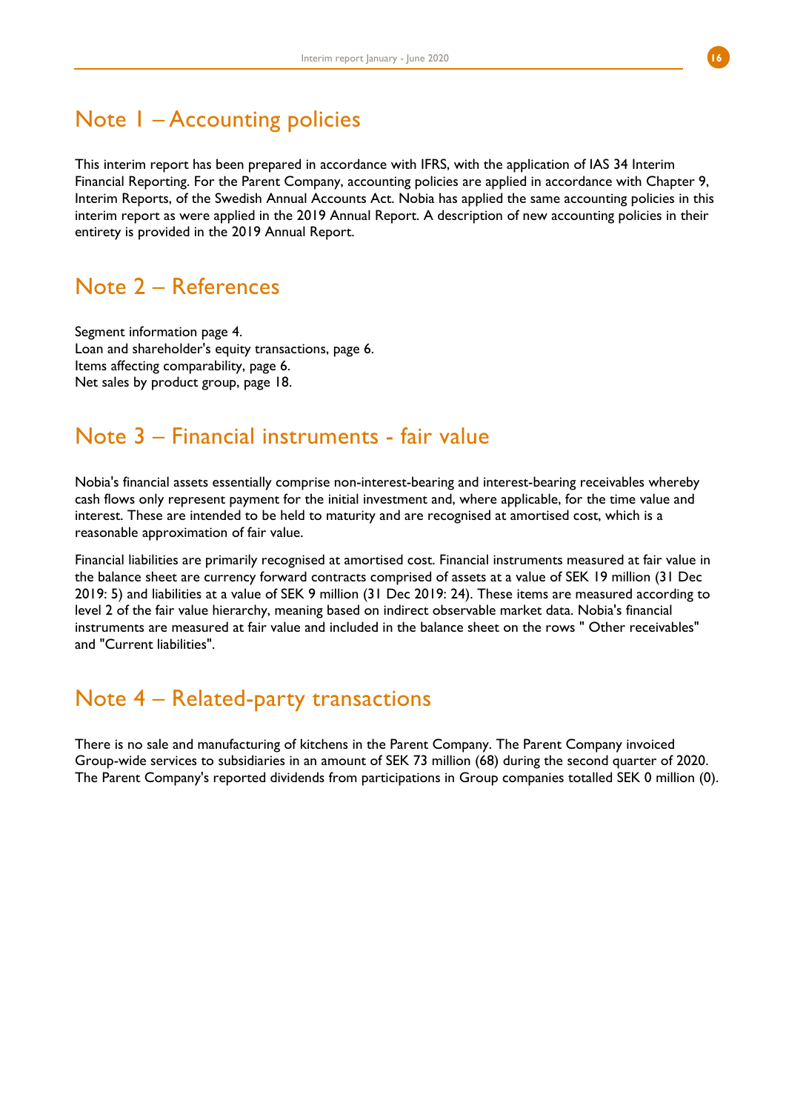## Note 1 – Accounting policies

This interim report has been prepared in accordance with IFRS, with the application of IAS 34 Interim Financial Reporting. For the Parent Company, accounting policies are applied in accordance with Chapter 9, Interim Reports, of the Swedish Annual Accounts Act. Nobia has applied the same accounting policies in this interim report as were applied in the 2019 Annual Report. A description of new accounting policies in their entirety is provided in the 2019 Annual Report.

## Note 2 – References

Segment information page 4. Loan and shareholder's equity transactions, page 6. Items affecting comparability, page 6. Net sales by product group, page 18.

## Note 3 – Financial instruments - fair value

Nobia's financial assets essentially comprise non-interest-bearing and interest-bearing receivables whereby cash flows only represent payment for the initial investment and, where applicable, for the time value and interest. These are intended to be held to maturity and are recognised at amortised cost, which is a reasonable approximation of fair value.

Financial liabilities are primarily recognised at amortised cost. Financial instruments measured at fair value in the balance sheet are currency forward contracts comprised of assets at a value of SEK 19 million (31 Dec 2019: 5) and liabilities at a value of SEK 9 million (31 Dec 2019: 24). These items are measured according to level 2 of the fair value hierarchy, meaning based on indirect observable market data. Nobia's financial instruments are measured at fair value and included in the balance sheet on the rows " Other receivables" and "Current liabilities".

## Note 4 – Related-party transactions

There is no sale and manufacturing of kitchens in the Parent Company. The Parent Company invoiced Group-wide services to subsidiaries in an amount of SEK 73 million (68) during the second quarter of 2020. The Parent Company's reported dividends from participations in Group companies totalled SEK 0 million (0).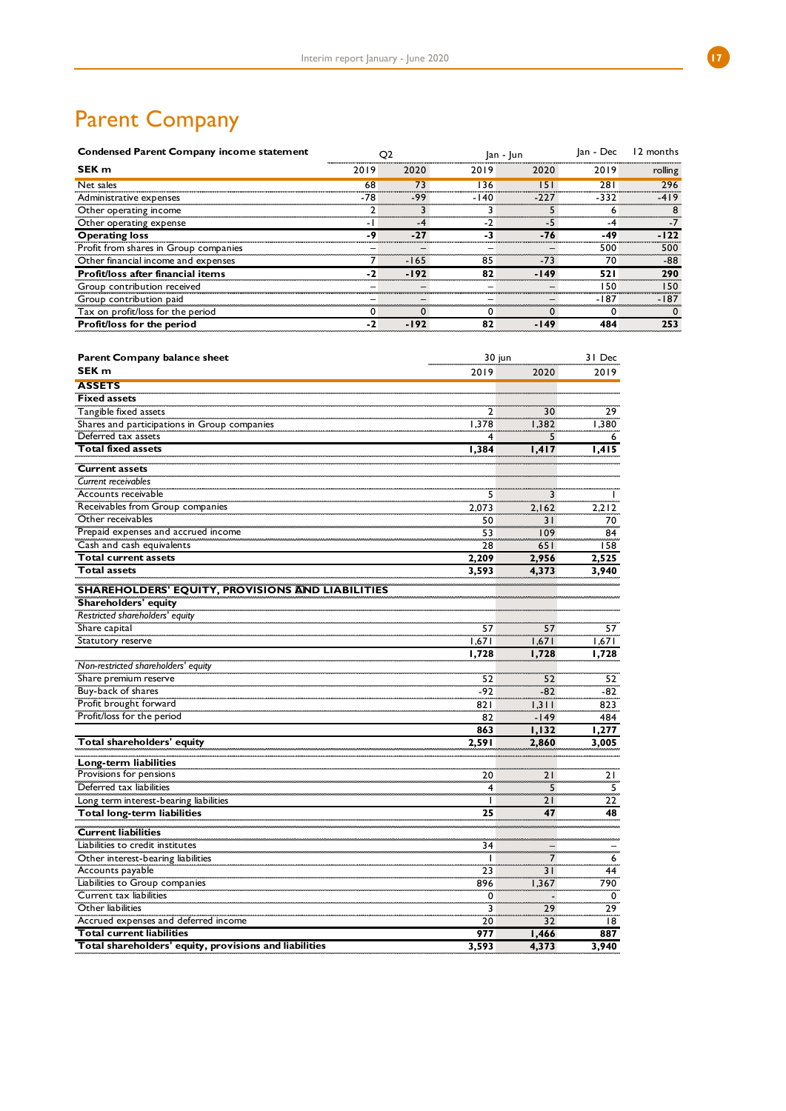# Parent Company

| <b>Condensed Parent Company income statement</b> |      |        | O2   |        |        |         | lan - Dec | 12 months |  |
|--------------------------------------------------|------|--------|------|--------|--------|---------|-----------|-----------|--|
| SEK <sub>m</sub>                                 | 2019 | 2020   | 2019 | 2020   | 2019   | rolling |           |           |  |
| Net sales                                        | 68   | 73     | 136  | 151    | 281    | 296     |           |           |  |
| Administrative expenses                          | -78  | -99    | -140 | $-227$ | -332   | $-419$  |           |           |  |
| Other operating income                           |      |        |      |        | 6      |         |           |           |  |
| Other operating expense                          |      | -4     |      | -5     | -4     |         |           |           |  |
| <b>Operating loss</b>                            | -9   | $-27$  |      | $-76$  | -49    | $-122$  |           |           |  |
| Profit from shares in Group companies            |      |        |      |        | 500    | 500     |           |           |  |
| Other financial income and expenses              |      | $-165$ | 85   | $-73$  | 70     | -88     |           |           |  |
| Profit/loss after financial items                | $-2$ | $-192$ | 82   | $-149$ | 521    | 290     |           |           |  |
| Group contribution received                      |      |        |      |        | 150    | 150     |           |           |  |
| Group contribution paid                          |      |        |      |        | $-187$ | $-187$  |           |           |  |
| Tax on profit/loss for the period                |      |        |      |        |        |         |           |           |  |
| Profit/loss for the period                       | -2   | $-192$ | 82   | $-149$ | 484    | 253     |           |           |  |

| Parent Company balance sheet                            | 30 jun             |          | 31 Dec      |
|---------------------------------------------------------|--------------------|----------|-------------|
| SEK <sub>m</sub>                                        | 2019               | 2020     | 2019        |
| <b>ASSETS</b>                                           |                    |          |             |
| <b>Fixed assets</b>                                     |                    |          |             |
| Tangible fixed assets                                   | 2                  | 30       | 29          |
| Shares and participations in Group companies            | 1,378              | 1,382    | 1,380       |
| Deferred tax assets                                     | 4                  | 5        | 6           |
| <b>Total fixed assets</b>                               | 1,384              | 1,417    | 1,415       |
| <b>Current assets</b>                                   |                    |          |             |
| Current receivables                                     |                    |          |             |
| Accounts receivable                                     | 5                  | 3        |             |
| Receivables from Group companies                        | 2,073              | 2,162    | 2,212       |
| Other receivables                                       | 50                 | 31       | 70          |
| Prepaid expenses and accrued income                     | 53                 | 109      | 84          |
| Cash and cash equivalents                               | 28                 | 651      | 158         |
| <b>Total current assets</b>                             | 2,209              | 2,956    | 2,525       |
| <b>Total assets</b>                                     | 3,593              | 4,373    | 3,940       |
| <b>SHAREHOLDERS' EQUITY, PROVISIONS AND LIABILITIES</b> |                    |          |             |
| Shareholders' equity                                    |                    |          |             |
| Restricted shareholders' equity                         |                    |          |             |
| Share capital                                           | 57                 | 57       | 57          |
| Statutory reserve                                       | 1,671              | 1,671    | 1,671       |
|                                                         | 1,728              | 1,728    | 1,728       |
| Non-restricted shareholders' equity                     |                    |          |             |
| Share premium reserve                                   | 52                 | 52       | 52          |
| Buy-back of shares                                      | $-92$              | $-82$    | $-82$       |
| Profit brought forward                                  | 821                | 1,311    | 823         |
| Profit/loss for the period                              | 82                 | $-149$   | 484         |
|                                                         | 863                | 1,132    | 1,277       |
| Total shareholders' equity                              | 2.591              | 2,860    | 3,005       |
|                                                         |                    |          |             |
| Long-term liabilities<br>Provisions for pensions        |                    |          |             |
| Deferred tax liabilities                                | 20                 | 21       | 21          |
|                                                         | 4                  | 5        | 5           |
| Long term interest-bearing liabilities                  | $\mathbf{I}$<br>25 | 21<br>47 | 22<br>48    |
| Total long-term liabilities                             |                    |          |             |
| <b>Current liabilities</b>                              |                    |          |             |
| Liabilities to credit institutes                        | 34                 |          |             |
| Other interest-bearing liabilities                      | $\mathbf{I}$       | 7        | 6           |
| Accounts payable                                        | 23                 | 31       | 44          |
| Liabilities to Group companies                          | 896                | 1,367    | 790         |
| Current tax liabilities                                 | 0                  |          | $\mathbf 0$ |
| Other liabilities                                       | 3                  | 29       | 29          |
| Accrued expenses and deferred income                    | 20                 | 32       | 18          |
| <b>Total current liabilities</b>                        | 977                | 1,466    | 887         |
| Total shareholders' equity, provisions and liabilities  | 3,593              | 4,373    | 3,940       |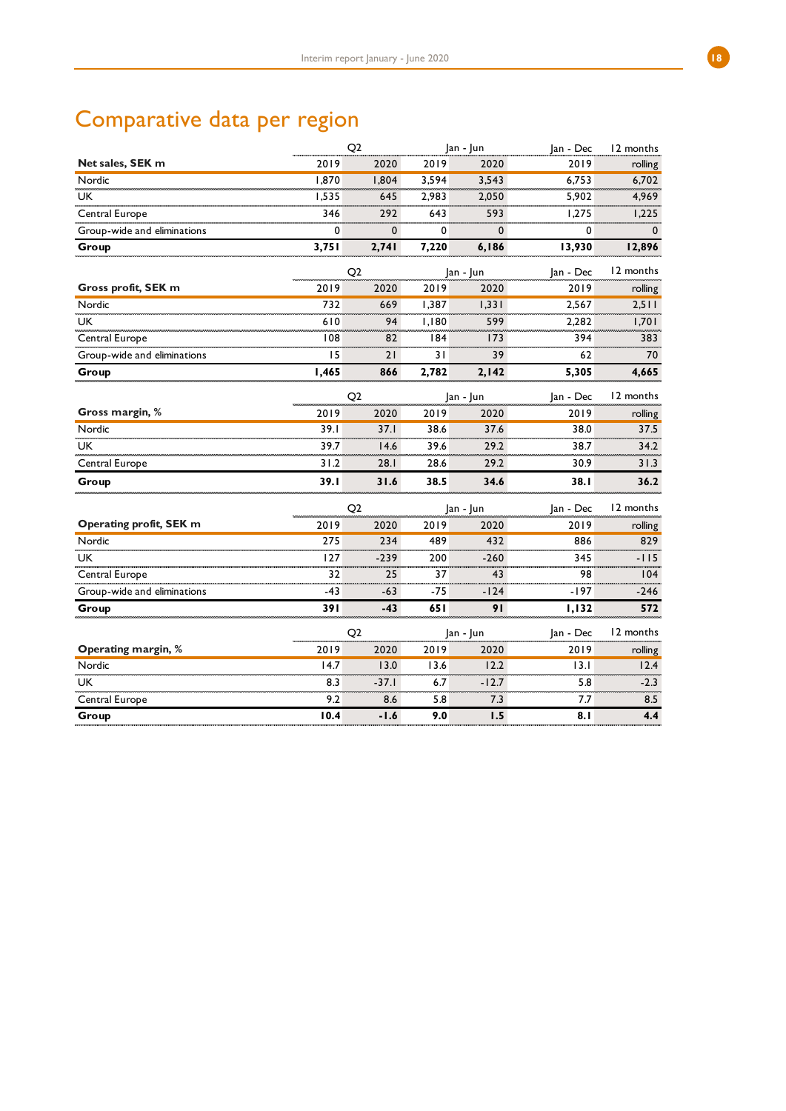# Comparative data per region

|                             |       | Q2             |       | Jan - Jun | Jan - Dec | 12 months   |
|-----------------------------|-------|----------------|-------|-----------|-----------|-------------|
| Net sales, SEK m            | 2019  | 2020           | 2019  | 2020      | 2019      | rolling     |
| Nordic                      | 1,870 | 1,804          | 3,594 | 3,543     | 6,753     | 6,702       |
| UK                          | 1,535 | 645            | 2,983 | 2,050     | 5,902     | 4,969       |
| Central Europe              | 346   | 292            | 643   | 593       | 1,275     | 1,225       |
| Group-wide and eliminations | 0     | 0              | 0     | 0         | 0         | $\mathbf 0$ |
| Group                       | 3,751 | 2,741          | 7,220 | 6,186     | 13,930    | 12,896      |
|                             |       | Q <sub>2</sub> |       | Jan - Jun | Jan - Dec | 12 months   |
| Gross profit, SEK m         | 2019  | 2020           | 2019  | 2020      | 2019      | rolling     |
| Nordic                      | 732   | 669            | 1,387 | 1,331     | 2,567     | 2,511       |
| <b>UK</b>                   | 610   | 94             | 1,180 | 599       | 2,282     | 1,701       |
| Central Europe              | 108   | 82             | 184   | 173       | 394       | 383         |
| Group-wide and eliminations | 15    | 21             | 31    | 39        | 62        | 70          |
| Group                       | 1,465 | 866            | 2,782 | 2,142     | 5,305     | 4,665       |
|                             |       | Q2             |       | Jan - Jun | Jan - Dec | 12 months   |
| Gross margin, %             | 2019  | 2020           | 2019  | 2020      | 2019      | rolling     |
| Nordic                      | 39.1  | 37.1           | 38.6  | 37.6      | 38.0      | 37.5        |
| <b>UK</b>                   | 39.7  | 14.6           | 39.6  | 29.2      | 38.7      | 34.2        |
| Central Europe              | 31.2  | 28.1           | 28.6  | 29.2      | 30.9      | 31.3        |
| Group                       | 39.1  | 31.6           | 38.5  | 34.6      | 38.1      | 36.2        |
|                             |       | Q <sub>2</sub> |       | Jan - Jun | Jan - Dec | 12 months   |
| Operating profit, SEK m     | 2019  | 2020           | 2019  | 2020      | 2019      | rolling     |
| Nordic                      | 275   | 234            | 489   | 432       | 886       | 829         |
| <b>UK</b>                   | 127   | $-239$         | 200   | $-260$    | 345       | $-115$      |
| Central Europe              | 32    | 25             | 37    | 43        | 98        | 104         |
| Group-wide and eliminations | $-43$ | -63            | -75   | $-124$    | $-197$    | $-246$      |
| Group                       | 391   | $-43$          | 65 I  | 91        | 1,132     | 572         |
|                             |       | Q2             |       | Jan - Jun | Jan - Dec | 12 months   |
| Operating margin, %         | 2019  | 2020           | 2019  | 2020      | 2019      | rolling     |
| Nordic                      | 14.7  | 13.0           | 13.6  | 12.2      | 13.1      | 12.4        |
| <b>UK</b>                   | 8.3   | $-37.1$        | 6.7   | $-12.7$   | 5.8       | $-2.3$      |
| Central Europe              | 9.2   | 8.6            | 5.8   | 7.3       | 7.7       | 8.5         |
| Group                       | 10.4  | $-1.6$         | 9.0   | 1.5       | 8.1       | 4.4         |
|                             |       |                |       |           |           |             |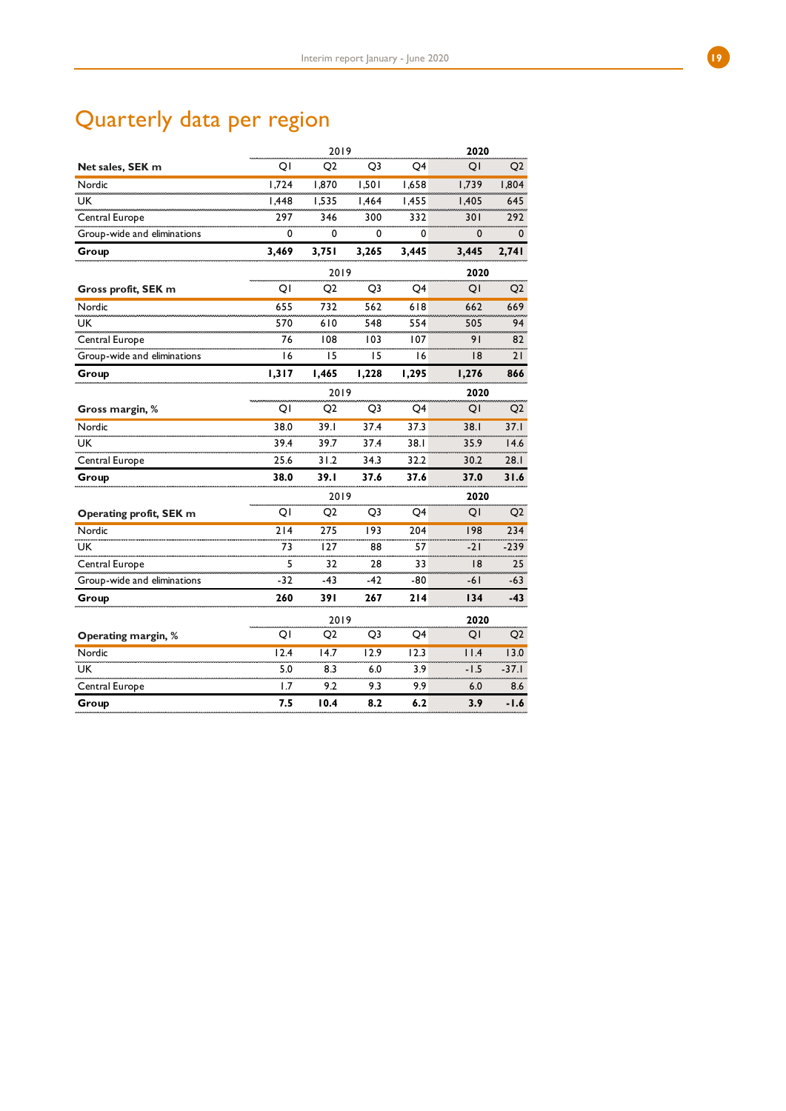# Quarterly data per region

|                             |       | 2019           |                |       | 2020   |                |
|-----------------------------|-------|----------------|----------------|-------|--------|----------------|
| Net sales, SEK m            | QI    | O <sub>2</sub> | Q <sub>3</sub> | Q4    | QI     | Q <sub>2</sub> |
| Nordic                      | 1,724 | 1,870          | 1,501          | 1,658 | 1,739  | 1,804          |
| <b>UK</b>                   | 1,448 | 1,535          | 1,464          | 1,455 | 1,405  | 645            |
| Central Europe              | 297   | 346            | 300            | 332   | 301    | 292            |
| Group-wide and eliminations | 0     | 0              | 0              | 0     | 0      | 0              |
| Group                       | 3,469 | 3,751          | 3,265          | 3,445 | 3,445  | 2,741          |
|                             |       | 2019           |                |       | 2020   |                |
| Gross profit, SEK m         | ΟI    | Q2             | Q <sub>3</sub> | Q4    | QI     | Q <sub>2</sub> |
| Nordic                      | 655   | 732            | 562            | 618   | 662    | 669            |
| <b>UK</b>                   | 570   | 610            | 548            | 554   | 505    | 94             |
| Central Europe              | 76    | 108            | 103            | 107   | 91     | 82             |
| Group-wide and eliminations | 16    | 15             | 15             | ۱6    | 8      | 21             |
| Group                       | 1,317 | 1,465          | 1,228          | 1,295 | 1,276  | 866            |
|                             |       | 2019           |                |       | 2020   |                |
| Gross margin, %             | QI    | Q <sub>2</sub> | Q3             | Q4    | QI     | Q <sub>2</sub> |
| Nordic                      | 38.0  | 39.1           | 37.4           | 37.3  | 38.I   | 37.1           |
| UK                          | 39.4  | 39.7           | 37.4           | 38.1  | 35.9   | 14.6           |
| Central Europe              | 25.6  | 31.2           | 34.3           | 32.2  | 30.2   | 28.1           |
| Group                       | 38.0  | 39. I          | 37.6           | 37.6  | 37.0   | 31.6           |
|                             |       | 2019           |                |       | 2020   |                |
| Operating profit, SEK m     | QI    | Q <sub>2</sub> | Q3             | Q4    | QI     | Q <sub>2</sub> |
| Nordic                      | 214   | 275            | 193            | 204   | 198    | 234            |
| UK.                         | 73    | 127            | 88             | 57    | -21    | -239           |
| Central Europe              | 5     | 32             | 28             | 33    | 8      | 25             |
| Group-wide and eliminations | -32   | -43            | -42            | -80   | -61    | $-63$          |
| Group                       | 260   | 391            | 267            | 214   | 134    | -43            |
|                             |       | 2019           |                |       | 2020   |                |
| Operating margin, %         | QI    | Q2             | Q <sub>3</sub> | Q4    | QI     | Q2             |
| Nordic                      | 12.4  | 14.7           | 12.9           | 12.3  | 11.4   | 13.0           |
| <b>UK</b>                   | 5.0   | 8.3            | 6.0            | 3.9   | $-1.5$ | $-37.1$        |
| Central Europe              | 1.7   | 9.2            | 9.3            | 9.9   | 6.0    | 8.6            |
| Group                       | 7.5   | 10.4           | 8.2            | 6.2   | 3.9    | $-1.6$         |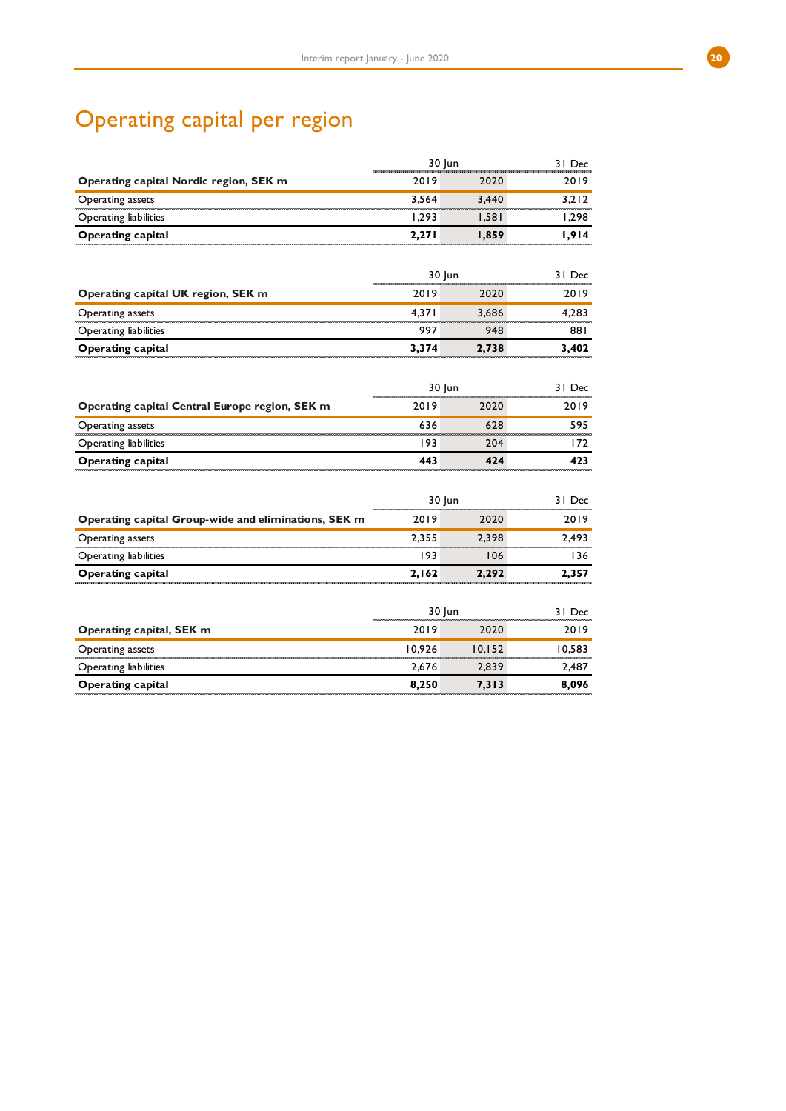# Operating capital per region

|                                                      | 30 Jun |        | 31 Dec |
|------------------------------------------------------|--------|--------|--------|
| Operating capital Nordic region, SEK m               | 2019   | 2020   | 2019   |
| Operating assets                                     | 3,564  | 3,440  | 3,212  |
| Operating liabilities                                | 1,293  | 1,581  | 1,298  |
| <b>Operating capital</b>                             | 2,271  | 1,859  | 1,914  |
|                                                      | 30 Jun |        | 31 Dec |
| Operating capital UK region, SEK m                   | 2019   | 2020   | 2019   |
| Operating assets                                     | 4,371  | 3,686  | 4,283  |
| Operating liabilities                                | 997    | 948    | 881    |
| <b>Operating capital</b>                             | 3,374  | 2,738  | 3,402  |
|                                                      |        |        |        |
|                                                      | 30 Jun |        | 31 Dec |
| Operating capital Central Europe region, SEK m       | 2019   | 2020   | 2019   |
| Operating assets                                     | 636    | 628    | 595    |
| Operating liabilities                                | 193    | 204    | 172    |
| <b>Operating capital</b>                             | 443    | 424    | 423    |
|                                                      |        |        |        |
|                                                      | 30 Jun |        | 31 Dec |
| Operating capital Group-wide and eliminations, SEK m | 2019   | 2020   | 2019   |
| Operating assets                                     | 2,355  | 2,398  | 2,493  |
| Operating liabilities                                | 193    | 106    | 136    |
| <b>Operating capital</b>                             | 2,162  | 2,292  | 2,357  |
|                                                      | 30 Jun |        | 31 Dec |
| Operating capital, SEK m                             | 2019   | 2020   | 2019   |
| Operating assets                                     | 10,926 | 10,152 | 10,583 |
| Operating liabilities                                | 2,676  | 2,839  | 2,487  |
| <b>Operating capital</b>                             | 8,250  | 7,313  | 8,096  |
|                                                      |        |        |        |

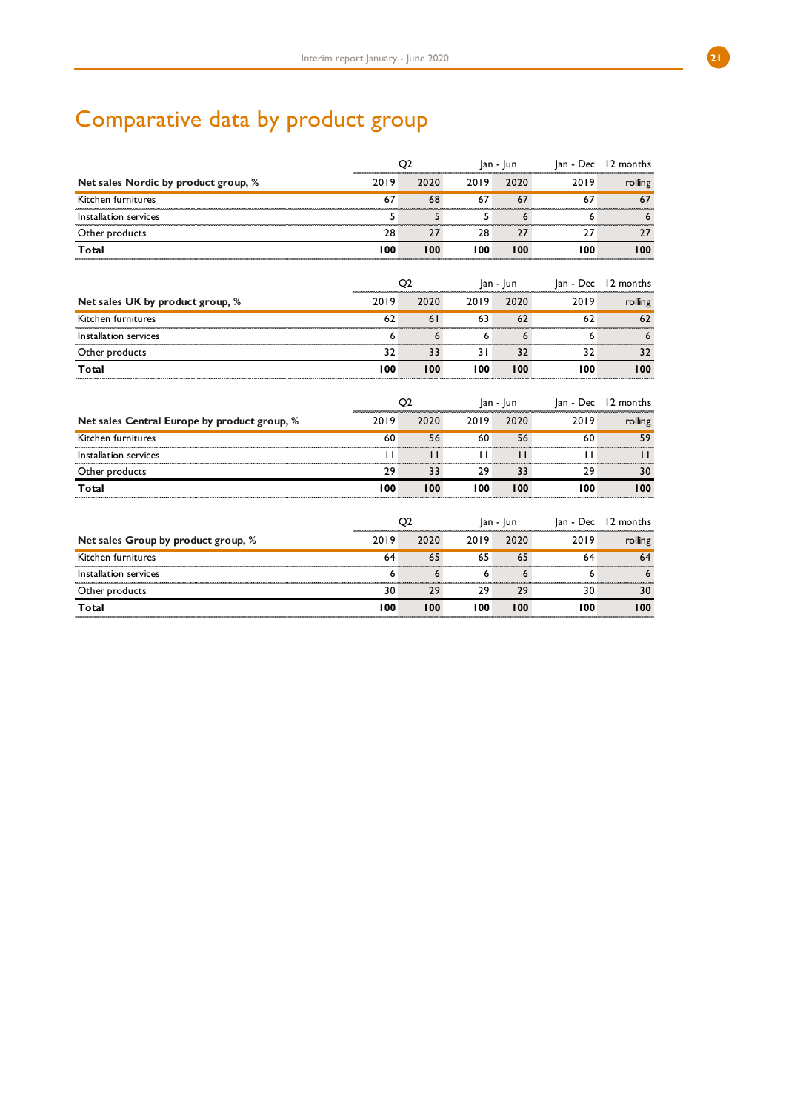# Comparative data by product group

|                                              | Q <sub>2</sub> | $ an -  un $   |              |              | Jan - Dec 12 months |               |
|----------------------------------------------|----------------|----------------|--------------|--------------|---------------------|---------------|
| Net sales Nordic by product group, %         | 2019           | 2020           | 2019         | 2020         | 2019                | rolling       |
| Kitchen furnitures                           | 67             | 68             | 67           | 67           | 67                  | 67            |
| Installation services                        | 5              | 5              | 5            | 6            | 6                   | 6             |
| Other products                               | 28             | 27             | 28           | 27           | 27                  | 27            |
| Total                                        | 100            | 100            | 100          | 100          | 100                 | 100           |
|                                              | Q2             |                |              | Jan - Jun    | Jan - Dec           | 12 months     |
| Net sales UK by product group, %             | 2019           | 2020           | 2019         | 2020         | 2019                | rolling       |
| Kitchen furnitures                           | 62             | 61             | 63           | 62           | 62                  | 62            |
| Installation services                        | 6              | 6              | 6            | 6            | 6                   | 6             |
| Other products                               | 32             | 33             | 31           | 32           | 32                  | 32            |
| Total                                        | 100            | 100            | 100          | 100          | 100                 | 100           |
|                                              | Q <sub>2</sub> |                | $ an -  un $ |              |                     |               |
|                                              |                |                |              |              | Jan - Dec           | 12 months     |
| Net sales Central Europe by product group, % | 2019           | 2020           | 2019         | 2020         | 2019                | rolling       |
| Kitchen furnitures                           | 60             | 56             | 60           | 56           | 60                  | 59<br>------- |
| Installation services                        | $\perp$        | $\mathbf{H}$   | $\perp$      | $\mathbf{1}$ | $\mathbf{1}$        | Ħ             |
| Other products                               | 29             | 33             | 29           | 33           | 29                  | 30            |
| Total                                        | 100            | 100            | 100          | 100          | 100                 | 100           |
|                                              |                | Q <sub>2</sub> |              | Jan - Jun    | Jan - Dec           | 12 months     |
| Net sales Group by product group, %          | 2019           | 2020           | 2019         | 2020         | 2019                | rolling       |
| Kitchen furnitures                           | 64             | 65             | 65           | 65           | 64                  | 64            |
| Installation services                        | 6              | 6              | 6            | 6            | 6                   | 6             |
| Other products                               | 30             | 29             | 29           | 29           | 30                  | 30            |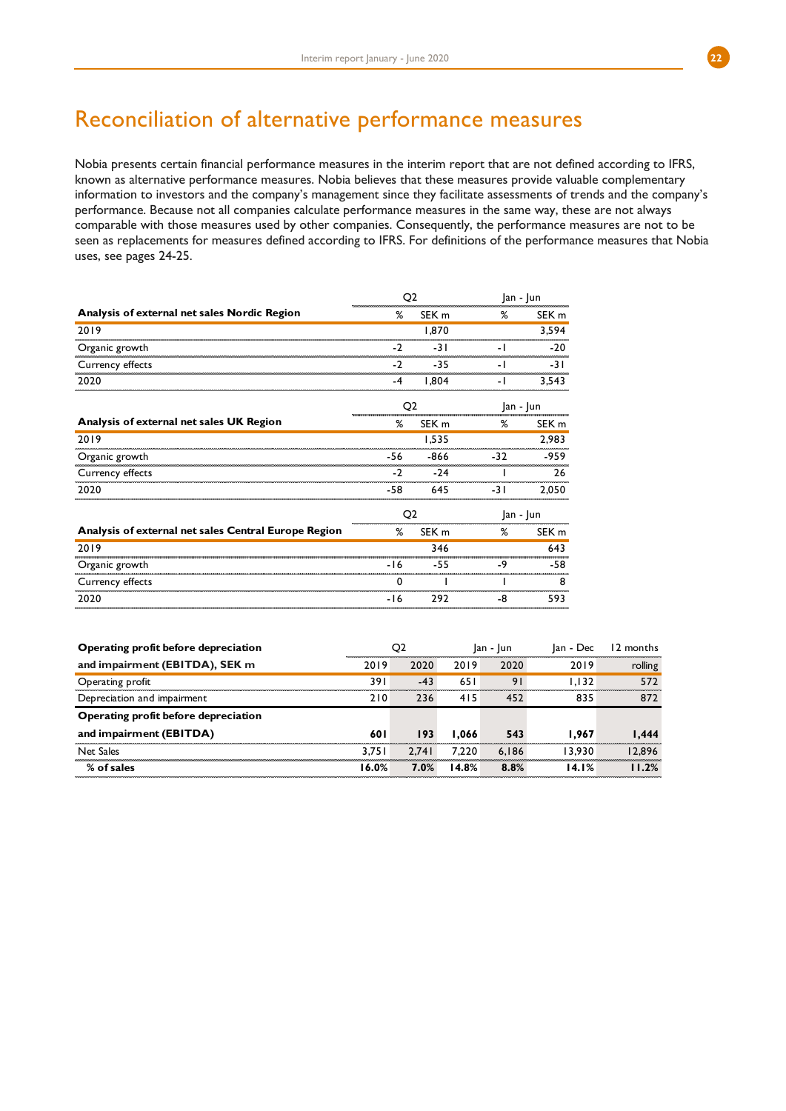## Reconciliation of alternative performance measures

Nobia presents certain financial performance measures in the interim report that are not defined according to IFRS, known as alternative performance measures. Nobia believes that these measures provide valuable complementary information to investors and the company's management since they facilitate assessments of trends and the company's performance. Because not all companies calculate performance measures in the same way, these are not always comparable with those measures used by other companies. Consequently, the performance measures are not to be seen as replacements for measures defined according to IFRS. For definitions of the performance measures that Nobia uses, see pages 24-25.

|      | Q2             |                                                                                                    |                                                                                                                                                            |                  |                                       |                                     |
|------|----------------|----------------------------------------------------------------------------------------------------|------------------------------------------------------------------------------------------------------------------------------------------------------------|------------------|---------------------------------------|-------------------------------------|
|      |                |                                                                                                    | ℅                                                                                                                                                          | SEK <sub>m</sub> |                                       |                                     |
|      |                |                                                                                                    |                                                                                                                                                            | 3.594            |                                       |                                     |
|      |                | $-31$                                                                                              |                                                                                                                                                            | $-20$            |                                       |                                     |
|      |                | -35                                                                                                | - 1                                                                                                                                                        | -31              |                                       |                                     |
|      |                |                                                                                                    | - 1                                                                                                                                                        | 3,543            |                                       |                                     |
|      | O <sub>2</sub> |                                                                                                    |                                                                                                                                                            |                  |                                       |                                     |
|      |                |                                                                                                    | %                                                                                                                                                          | SEK <sub>m</sub> |                                       |                                     |
|      |                |                                                                                                    |                                                                                                                                                            | 2.983            |                                       |                                     |
|      |                |                                                                                                    | $-32$                                                                                                                                                      | $-959$           |                                       |                                     |
|      |                | $-24$                                                                                              |                                                                                                                                                            | 26               |                                       |                                     |
|      |                |                                                                                                    | $-31$                                                                                                                                                      | 2,050            |                                       |                                     |
|      | Q <sub>2</sub> |                                                                                                    |                                                                                                                                                            |                  |                                       |                                     |
|      |                |                                                                                                    | %                                                                                                                                                          | SEK <sub>m</sub> |                                       |                                     |
|      |                |                                                                                                    |                                                                                                                                                            | 643              |                                       |                                     |
|      |                | -55                                                                                                | -9                                                                                                                                                         | -58              |                                       |                                     |
|      |                |                                                                                                    | L                                                                                                                                                          | 8                |                                       |                                     |
|      |                |                                                                                                    | -8                                                                                                                                                         | 593              |                                       |                                     |
|      |                |                                                                                                    |                                                                                                                                                            |                  |                                       |                                     |
|      |                |                                                                                                    |                                                                                                                                                            |                  |                                       | 12 months                           |
| 2019 |                | 2019                                                                                               | 2020                                                                                                                                                       |                  |                                       | rolling                             |
| 391  |                | 651                                                                                                | 91                                                                                                                                                         |                  |                                       | 572                                 |
| 210  |                | 415                                                                                                | 452                                                                                                                                                        |                  | 835                                   | 872                                 |
|      |                |                                                                                                    |                                                                                                                                                            |                  |                                       |                                     |
| 601  |                |                                                                                                    | 543                                                                                                                                                        |                  |                                       | 1,444                               |
|      |                | %<br>$-2$<br>$-2$<br>$-4$<br>%<br>-56<br>$-2$<br>$-58$<br>%<br>$-16$<br>0<br>-16<br>Q <sub>2</sub> | SEK <sub>m</sub><br>1.870<br>1,804<br>SEK <sub>m</sub><br>1,535<br>$-866$<br>645<br>SEK <sub>m</sub><br>346<br>292<br>2020<br>$-43$<br>236<br>193<br>1,066 | $ an -  un $     | $ an -  un$<br>Jan - Jun<br>Jan - Jun | Jan - Dec<br>2019<br>1.132<br>1,967 |

Net Sales 3,751 2,741 7,220 6,186 13,930 12,896 **% of sales 16.0% 7.0% 14.8% 8.8% 14.1% 11.2%**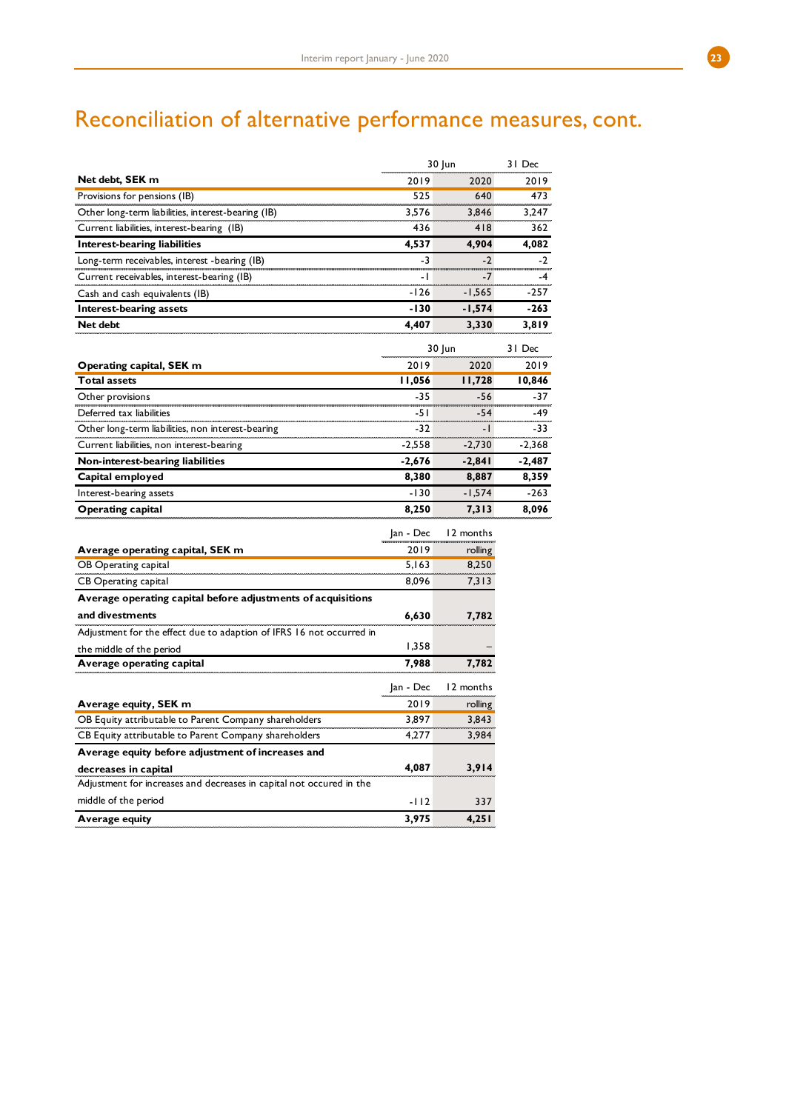# Reconciliation of alternative performance measures, cont.

|                                                                      |           | 30 Jun    | 31 Dec   |
|----------------------------------------------------------------------|-----------|-----------|----------|
| Net debt, SEK m                                                      | 2019      | 2020      | 2019     |
| Provisions for pensions (IB)                                         | 525       | 640       | 473      |
| Other long-term liabilities, interest-bearing (IB)                   | 3,576     | 3,846     | 3,247    |
| Current liabilities, interest-bearing (IB)                           | 436       | 418       | 362      |
| Interest-bearing liabilities                                         | 4,537     | 4,904     | 4,082    |
| Long-term receivables, interest -bearing (IB)                        | $-3$      | $-2$      | $-2$     |
| Current receivables, interest-bearing (IB)                           | -1        | $-7$      | $-4$     |
| Cash and cash equivalents (IB)                                       | -126      | $-1,565$  | -257     |
| Interest-bearing assets                                              | -130      | $-1,574$  | -263     |
| Net debt                                                             | 4,407     | 3,330     | 3,819    |
|                                                                      |           | 30 Jun    | 31 Dec   |
| Operating capital, SEK m                                             | 2019      | 2020      | 2019     |
| <b>Total assets</b>                                                  | 11,056    | 11,728    | 10,846   |
| Other provisions                                                     | -35       | -56       | $-37$    |
| Deferred tax liabilities                                             | -51       | -54       | -49      |
| Other long-term liabilities, non interest-bearing                    | $-32$     | -1        | -33      |
| Current liabilities, non interest-bearing                            | $-2,558$  | $-2,730$  | $-2,368$ |
| Non-interest-bearing liabilities                                     | -2,676    | $-2,841$  | -2,487   |
| Capital employed                                                     | 8,380     | 8,887     | 8,359    |
| Interest-bearing assets                                              | $-130$    | $-1,574$  | -263     |
| Operating capital                                                    | 8,250     | 7,313     | 8,096    |
|                                                                      | Jan - Dec | 12 months |          |
| Average operating capital, SEK m                                     | 2019      | rolling   |          |
| OB Operating capital                                                 | 5,163     | 8,250     |          |
| CB Operating capital                                                 | 8,096     | 7,313     |          |
| Average operating capital before adjustments of acquisitions         |           |           |          |
| and divestments                                                      |           |           |          |
|                                                                      | 6,630     | 7,782     |          |
| Adjustment for the effect due to adaption of IFRS 16 not occurred in | 1,358     |           |          |
| the middle of the period<br>Average operating capital                | 7,988     | 7,782     |          |
|                                                                      |           |           |          |
|                                                                      | Jan - Dec | 12 months |          |
| Average equity, SEK m                                                | 2019      | rolling   |          |
| OB Equity attributable to Parent Company shareholders                | 3.897     | 3,843     |          |
| CB Equity attributable to Parent Company shareholders                | 4,277     | 3,984     |          |
| Average equity before adjustment of increases and                    |           |           |          |
| decreases in capital                                                 | 4,087     | 3,914     |          |
| Adjustment for increases and decreases in capital not occured in the |           |           |          |
| middle of the period                                                 | $-112$    | 337       |          |
| Average equity                                                       | 3,975     | 4,251     |          |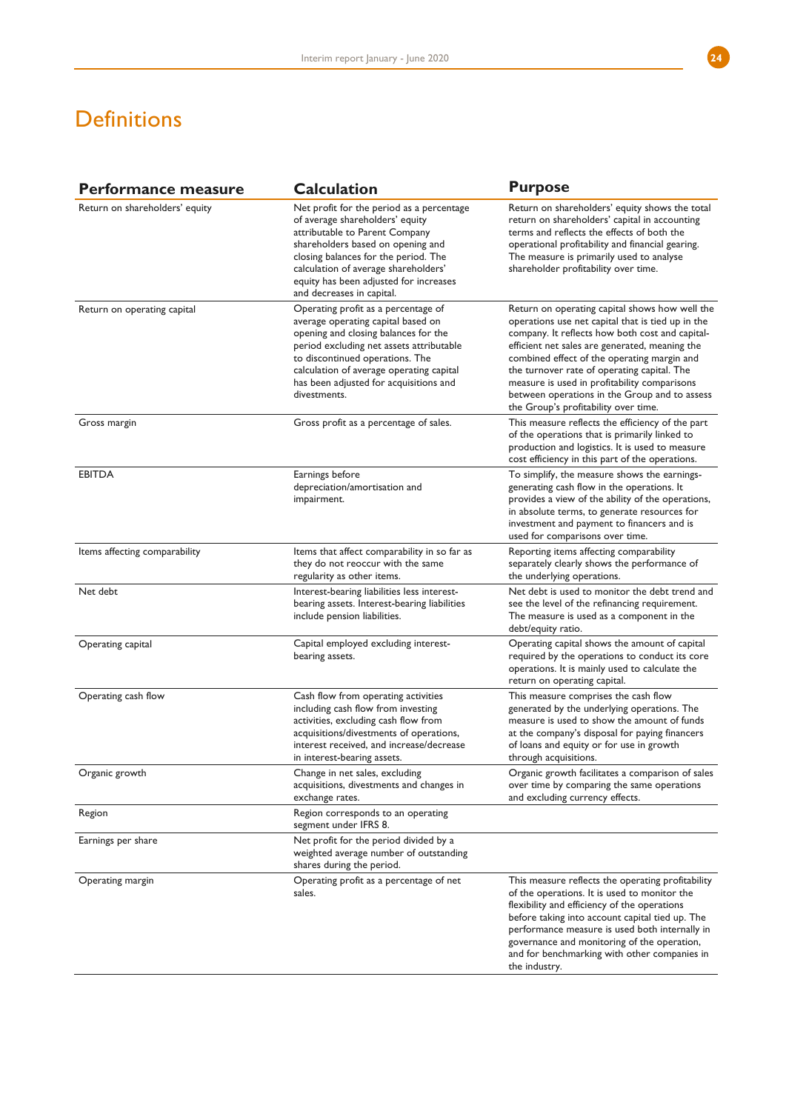# **Definitions**

| <b>Performance measure</b>     | <b>Calculation</b>                                                                                                                                                                                                                                                                                         | <b>Purpose</b>                                                                                                                                                                                                                                                                                                                                                                                                                                  |
|--------------------------------|------------------------------------------------------------------------------------------------------------------------------------------------------------------------------------------------------------------------------------------------------------------------------------------------------------|-------------------------------------------------------------------------------------------------------------------------------------------------------------------------------------------------------------------------------------------------------------------------------------------------------------------------------------------------------------------------------------------------------------------------------------------------|
| Return on shareholders' equity | Net profit for the period as a percentage<br>of average shareholders' equity<br>attributable to Parent Company<br>shareholders based on opening and<br>closing balances for the period. The<br>calculation of average shareholders'<br>equity has been adjusted for increases<br>and decreases in capital. | Return on shareholders' equity shows the total<br>return on shareholders' capital in accounting<br>terms and reflects the effects of both the<br>operational profitability and financial gearing.<br>The measure is primarily used to analyse<br>shareholder profitability over time.                                                                                                                                                           |
| Return on operating capital    | Operating profit as a percentage of<br>average operating capital based on<br>opening and closing balances for the<br>period excluding net assets attributable<br>to discontinued operations. The<br>calculation of average operating capital<br>has been adjusted for acquisitions and<br>divestments.     | Return on operating capital shows how well the<br>operations use net capital that is tied up in the<br>company. It reflects how both cost and capital-<br>efficient net sales are generated, meaning the<br>combined effect of the operating margin and<br>the turnover rate of operating capital. The<br>measure is used in profitability comparisons<br>between operations in the Group and to assess<br>the Group's profitability over time. |
| Gross margin                   | Gross profit as a percentage of sales.                                                                                                                                                                                                                                                                     | This measure reflects the efficiency of the part<br>of the operations that is primarily linked to<br>production and logistics. It is used to measure<br>cost efficiency in this part of the operations.                                                                                                                                                                                                                                         |
| <b>EBITDA</b>                  | Earnings before<br>depreciation/amortisation and<br>impairment.                                                                                                                                                                                                                                            | To simplify, the measure shows the earnings-<br>generating cash flow in the operations. It<br>provides a view of the ability of the operations,<br>in absolute terms, to generate resources for<br>investment and payment to financers and is<br>used for comparisons over time.                                                                                                                                                                |
| Items affecting comparability  | Items that affect comparability in so far as<br>they do not reoccur with the same<br>regularity as other items.                                                                                                                                                                                            | Reporting items affecting comparability<br>separately clearly shows the performance of<br>the underlying operations.                                                                                                                                                                                                                                                                                                                            |
| Net debt                       | Interest-bearing liabilities less interest-<br>bearing assets. Interest-bearing liabilities<br>include pension liabilities.                                                                                                                                                                                | Net debt is used to monitor the debt trend and<br>see the level of the refinancing requirement.<br>The measure is used as a component in the<br>debt/equity ratio.                                                                                                                                                                                                                                                                              |
| Operating capital              | Capital employed excluding interest-<br>bearing assets.                                                                                                                                                                                                                                                    | Operating capital shows the amount of capital<br>required by the operations to conduct its core<br>operations. It is mainly used to calculate the<br>return on operating capital.                                                                                                                                                                                                                                                               |
| Operating cash flow            | Cash flow from operating activities<br>including cash flow from investing<br>activities, excluding cash flow from<br>acquisitions/divestments of operations,<br>interest received, and increase/decrease<br>in interest-bearing assets.                                                                    | This measure comprises the cash flow<br>generated by the underlying operations. The<br>measure is used to show the amount of funds<br>at the company's disposal for paying financers<br>of loans and equity or for use in growth<br>through acquisitions.                                                                                                                                                                                       |
| Organic growth                 | Change in net sales, excluding<br>acquisitions, divestments and changes in<br>exchange rates.                                                                                                                                                                                                              | Organic growth facilitates a comparison of sales<br>over time by comparing the same operations<br>and excluding currency effects.                                                                                                                                                                                                                                                                                                               |
| Region                         | Region corresponds to an operating<br>segment under IFRS 8.                                                                                                                                                                                                                                                |                                                                                                                                                                                                                                                                                                                                                                                                                                                 |
| Earnings per share             | Net profit for the period divided by a<br>weighted average number of outstanding<br>shares during the period.                                                                                                                                                                                              |                                                                                                                                                                                                                                                                                                                                                                                                                                                 |
| Operating margin               | Operating profit as a percentage of net<br>sales.                                                                                                                                                                                                                                                          | This measure reflects the operating profitability<br>of the operations. It is used to monitor the<br>flexibility and efficiency of the operations<br>before taking into account capital tied up. The<br>performance measure is used both internally in<br>governance and monitoring of the operation,<br>and for benchmarking with other companies in<br>the industry.                                                                          |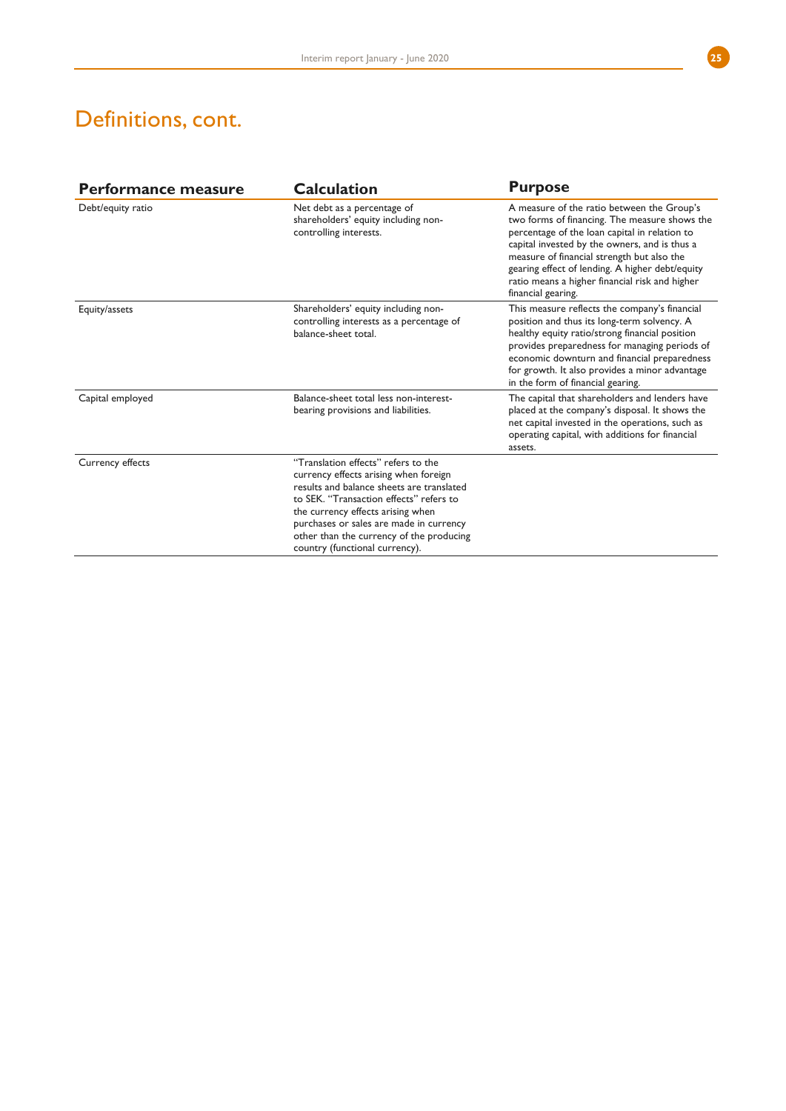## Definitions, cont.

| Performance measure | <b>Calculation</b>                                                                                                                                                                                                                                                                                                                 | <b>Purpose</b>                                                                                                                                                                                                                                                                                                                                                         |
|---------------------|------------------------------------------------------------------------------------------------------------------------------------------------------------------------------------------------------------------------------------------------------------------------------------------------------------------------------------|------------------------------------------------------------------------------------------------------------------------------------------------------------------------------------------------------------------------------------------------------------------------------------------------------------------------------------------------------------------------|
| Debt/equity ratio   | Net debt as a percentage of<br>shareholders' equity including non-<br>controlling interests.                                                                                                                                                                                                                                       | A measure of the ratio between the Group's<br>two forms of financing. The measure shows the<br>percentage of the loan capital in relation to<br>capital invested by the owners, and is thus a<br>measure of financial strength but also the<br>gearing effect of lending. A higher debt/equity<br>ratio means a higher financial risk and higher<br>financial gearing. |
| Equity/assets       | Shareholders' equity including non-<br>controlling interests as a percentage of<br>balance-sheet total.                                                                                                                                                                                                                            | This measure reflects the company's financial<br>position and thus its long-term solvency. A<br>healthy equity ratio/strong financial position<br>provides preparedness for managing periods of<br>economic downturn and financial preparedness<br>for growth. It also provides a minor advantage<br>in the form of financial gearing.                                 |
| Capital employed    | Balance-sheet total less non-interest-<br>bearing provisions and liabilities.                                                                                                                                                                                                                                                      | The capital that shareholders and lenders have<br>placed at the company's disposal. It shows the<br>net capital invested in the operations, such as<br>operating capital, with additions for financial<br>assets.                                                                                                                                                      |
| Currency effects    | "Translation effects" refers to the<br>currency effects arising when foreign<br>results and balance sheets are translated<br>to SEK. "Transaction effects" refers to<br>the currency effects arising when<br>purchases or sales are made in currency<br>other than the currency of the producing<br>country (functional currency). |                                                                                                                                                                                                                                                                                                                                                                        |